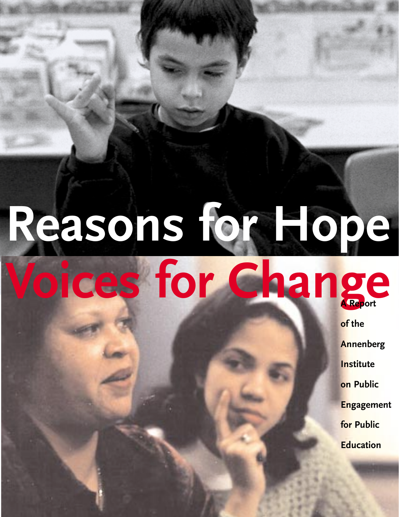# **Reasons for Hope Vices for Change**

**of the Annenberg Institute on Public Engagement for Public Education**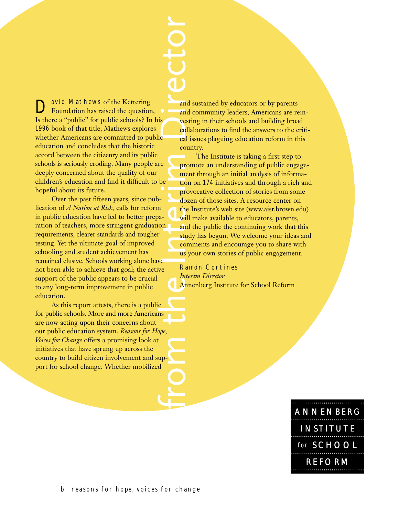**D**avid Mathews of the Kettering<br>Foundation has raised the question, Is there a "public" for public schools? In his 1996 book of that title, Mathews explores whether Americans are committed to public education and concludes that the historic accord between the citizenry and its public schools is seriously eroding. Many people are deeply concerned about the quality of our children's education and find it difficult to be hopeful about its future.

Over the past fifteen years, since publication of *A Nation at Risk,* calls for reform in public education have led to better preparation of teachers, more stringent graduation requirements, clearer standards and tougher testing. Yet the ultimate goal of improved schooling and student achievement has remained elusive. Schools working alone have not been able to achieve that goal; the active support of the public appears to be crucial to any long-term improvement in public education.

As this report attests, there is a public for public schools. More and more Americans are now acting upon their concerns about our public education system. *Reasons for Hope, Voices for Change* offers a promising look at initiatives that have sprung up across the country to build citizen involvement and support for school change. Whether mobilized

and community leaders, Americans are reinvesting in their schools and building broad collaborations to find the answers to the critical issues plaguing education reform in this country.

and sustained by educators or by parents<br>and community leaders, Americans are re<br>cal issues plaguing education reform in the<br>cal issues plaguing education reform in the<br>cal issues plaguing education reform in the<br>country.<br> The Institute is taking a first step to promote an understanding of public engagement through an initial analysis of information on 174 initiatives and through a rich and provocative collection of stories from some dozen of those sites. A resource center on the Institute's web site (www.aisr.brown.edu) will make available to educators, parents, and the public the continuing work that this study has begun. We welcome your ideas and comments and encourage you to share with us your own stories of public engagement.

Ramón Cortines *Interim Director* Annenberg Institute for School Reform

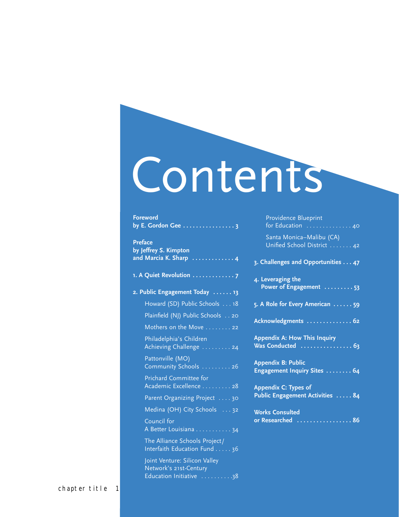# Contents

**Foreword by E. Gordon Gee . . . . . . . . . . . . . . . . 3**

**Preface by Jeffrey S. Kimpton and Marcia K. Sharp . . . . . . . . . . . . . 4 1. A Quiet Revolution . . . . . . . . . . . . . 7 2. Public Engagement Today . . . . . . 13** Howard (SD) Public Schools . . . 18 Plainfield (NJ) Public Schools . . 20 Mothers on the Move . . . . . . . . 22 Philadelphia's Children Achieving Challenge . . . . . . . . . 24 Pattonville (MO) Community Schools . . . . . . . . . 26 Prichard Committee for Academic Excellence . . . . . . . . . 28 Parent Organizing Project . . . . 30 Medina (OH) City Schools . . . 32 Council for A Better Louisiana . . . . . . . . . . . 34 The Alliance Schools Project/ Interfaith Education Fund . . . . . 36 Joint Venture: Silicon Valley Network's 21st-Century Education Initiative ...........38

Providence Blueprint for Education . . . . . . . . . . . . . . 40 Santa Monica–Malibu (CA) Unified School District . . . . . . . 42 **3. Challenges and Opportunities . . . 47 4. Leveraging the Power of Engagement . . . . . . . . . 53 5. A Role for Every American . . . . . . 59 Acknowledgments . . . . . . . . . . . . . . 62 Appendix A: How This Inquiry Was Conducted . . . . . . . . . . . . . . . . 63 Appendix B: Public Engagement Inquiry Sites . . . . . . . . 64 Appendix C: Types of Public Engagement Activities . . . . . 84 Works Consulted or Researched . . . . . . . . . . . . . . . . . 86**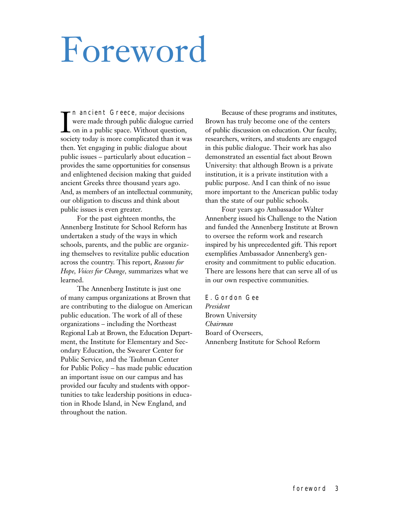# Foreword

**I** n ancient Greece, major decisions were made through public dialogue carried on in a public space. Without question, society today is more complicated than it was then. Yet engaging in public dialogue about public issues – particularly about education – provides the same opportunities for consensus and enlightened decision making that guided ancient Greeks three thousand years ago. And, as members of an intellectual community, our obligation to discuss and think about public issues is even greater.

For the past eighteen months, the Annenberg Institute for School Reform has undertaken a study of the ways in which schools, parents, and the public are organizing themselves to revitalize public education across the country. This report, *Reasons for Hope, Voices for Change,* summarizes what we learned.

The Annenberg Institute is just one of many campus organizations at Brown that are contributing to the dialogue on American public education. The work of all of these organizations – including the Northeast Regional Lab at Brown, the Education Department, the Institute for Elementary and Secondary Education, the Swearer Center for Public Service, and the Taubman Center for Public Policy – has made public education an important issue on our campus and has provided our faculty and students with opportunities to take leadership positions in education in Rhode Island, in New England, and throughout the nation.

Because of these programs and institutes, Brown has truly become one of the centers of public discussion on education. Our faculty, researchers, writers, and students are engaged in this public dialogue. Their work has also demonstrated an essential fact about Brown University: that although Brown is a private institution, it is a private institution with a public purpose. And I can think of no issue more important to the American public today than the state of our public schools.

Four years ago Ambassador Walter Annenberg issued his Challenge to the Nation and funded the Annenberg Institute at Brown to oversee the reform work and research inspired by his unprecedented gift. This report exemplifies Ambassador Annenberg's generosity and commitment to public education. There are lessons here that can serve all of us in our own respective communities.

E. Gordon Gee *President*  Brown University *Chairman* Board of Overseers, Annenberg Institute for School Reform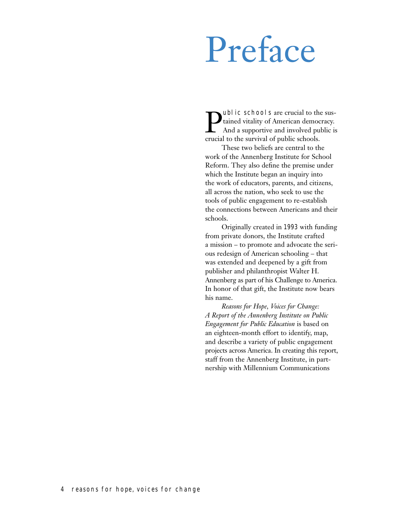# Preface

**Public schools are crucial to the sus-<br>
Letter and involved public is<br>
crucial to the survival of public schools** tained vitality of American democracy. And a supportive and involved public is crucial to the survival of public schools.

These two beliefs are central to the work of the Annenberg Institute for School Reform. They also define the premise under which the Institute began an inquiry into the work of educators, parents, and citizens, all across the nation, who seek to use the tools of public engagement to re-establish the connections between Americans and their schools.

Originally created in 1993 with funding from private donors, the Institute crafted a mission – to promote and advocate the serious redesign of American schooling – that was extended and deepened by a gift from publisher and philanthropist Walter H. Annenberg as part of his Challenge to America. In honor of that gift, the Institute now bears his name.

*Reasons for Hope, Voices for Change: A Report of the Annenberg Institute on Public Engagement for Public Education* is based on an eighteen-month effort to identify, map, and describe a variety of public engagement projects across America. In creating this report, staff from the Annenberg Institute, in partnership with Millennium Communications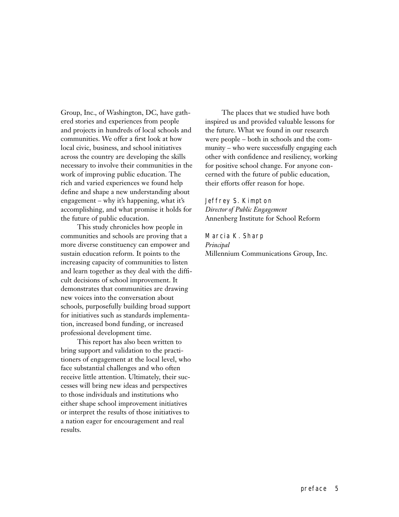Group, Inc., of Washington, DC, have gathered stories and experiences from people and projects in hundreds of local schools and communities. We offer a first look at how local civic, business, and school initiatives across the country are developing the skills necessary to involve their communities in the work of improving public education. The rich and varied experiences we found help define and shape a new understanding about engagement – why it's happening, what it's accomplishing, and what promise it holds for the future of public education.

This study chronicles how people in communities and schools are proving that a more diverse constituency can empower and sustain education reform. It points to the increasing capacity of communities to listen and learn together as they deal with the difficult decisions of school improvement. It demonstrates that communities are drawing new voices into the conversation about schools, purposefully building broad support for initiatives such as standards implementation, increased bond funding, or increased professional development time.

This report has also been written to bring support and validation to the practitioners of engagement at the local level, who face substantial challenges and who often receive little attention. Ultimately, their successes will bring new ideas and perspectives to those individuals and institutions who either shape school improvement initiatives or interpret the results of those initiatives to a nation eager for encouragement and real results.

The places that we studied have both inspired us and provided valuable lessons for the future. What we found in our research were people – both in schools and the community – who were successfully engaging each other with confidence and resiliency, working for positive school change. For anyone concerned with the future of public education, their efforts offer reason for hope.

#### Jeffrey S. Kimpton *Director of Public Engagement* Annenberg Institute for School Reform

Marcia K. Sharp *Principal* Millennium Communications Group, Inc.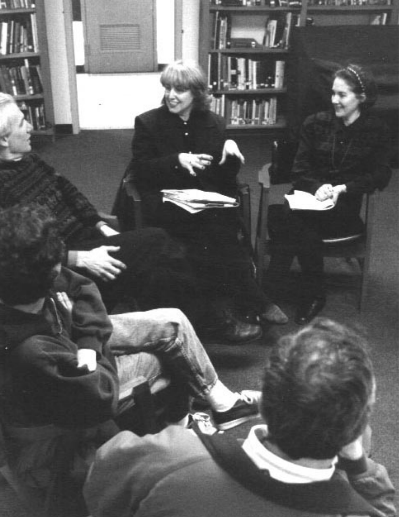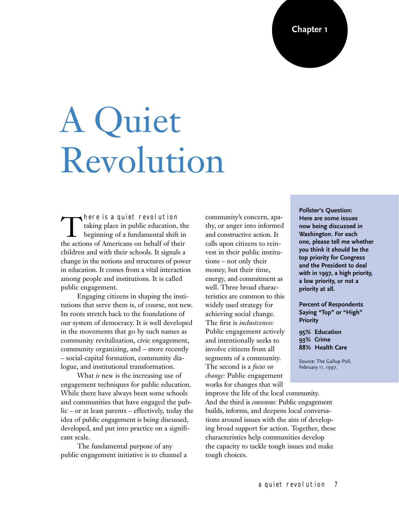# A Quiet Revolution

There is a quiet revolution<br>taking place in public education,<br>beginning of a fundamental shift taking place in public education, the beginning of a fundamental shift in the actions of Americans on behalf of their children and with their schools. It signals a change in the notions and structures of power in education. It comes from a vital interaction among people and institutions. It is called public engagement.

Engaging citizens in shaping the institutions that serve them is, of course, not new. Its roots stretch back to the foundations of our system of democracy. It is well developed in the movements that go by such names as community revitalization, civic engagement, community organizing, and – more recently – social-capital formation, community dialogue, and institutional transformation.

What *is* new is the increasing use of engagement techniques for public education. While there have always been some schools and communities that have engaged the public – or at least parents – effectively, today the idea of public engagement is being discussed, developed, and put into practice on a significant scale.

The fundamental purpose of any public engagement initiative is to channel a

community's concern, apathy, or anger into informed and constructive action. It calls upon citizens to reinvest in their public institutions – not only their money, but their time, energy, and commitment as well. Three broad characteristics are common to this widely used strategy for achieving social change. The first is *inclusiveness:* Public engagement actively and intentionally seeks to involve citizens from all segments of a community. The second is a *focus on change:* Public engagement works for changes that will

improve the life of the local community. And the third is *consensus:* Public engagement builds, informs, and deepens local conversations around issues with the aim of developing broad support for action. Together, these characteristics help communities develop the capacity to tackle tough issues and make tough choices.

**Pollster's Question: Here are some issues now being discussed in Washington. For each one, please tell me whether you think it should be the top priority for Congress and the President to deal with in 1997, a high priority, a low priority, or not a priority at all.**

**Percent of Respondents Saying "Top" or "High" Priority**

**95% Education 93% Crime 88% Health Care**

Source: The Gallup Poll, February 11, 1997.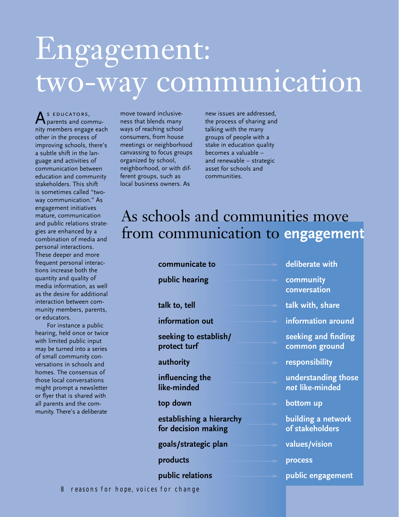# Engagement: two-way communication

A<sup>S EDUCATORS,</sup><br>parents and community members engage each other in the process of improving schools, there's a subtle shift in the language and activities of communication between education and community stakeholders. This shift is sometimes called "twoway communication." As engagement initiatives mature, communication and public relations strategies are enhanced by a combination of media and personal interactions. These deeper and more frequent personal interactions increase both the quantity and quality of media information, as well as the desire for additional interaction between community members, parents, or educators.

For instance a public hearing, held once or twice with limited public input may be turned into a series of small community conversations in schools and homes. The consensus of those local conversations might prompt a newsletter or flyer that is shared with all parents and the community. There's a deliberate

move toward inclusiveness that blends many ways of reaching school consumers, from house meetings or neighborhood canvassing to focus groups organized by school, neighborhood, or with different groups, such as local business owners. As

new issues are addressed, the process of sharing and talking with the many groups of people with a stake in education quality becomes a valuable – and renewable – strategic asset for schools and communities.

# As schools and communities move from communication to **engagement**

| communicate to                                  | deliberate with                        |
|-------------------------------------------------|----------------------------------------|
| public hearing                                  | community<br>conversation              |
| talk to, tell                                   | talk with, share                       |
| information out                                 | information around                     |
| seeking to establish/<br>protect turf           | seeking and finding<br>common ground   |
| authority                                       | responsibility                         |
| influencing the<br>like-minded                  | understanding those<br>not like-minded |
| top down                                        | bottom up                              |
| establishing a hierarchy<br>for decision making | building a network<br>of stakeholders  |
| goals/strategic plan                            | values/vision                          |
| products                                        | process                                |

**public relations public engagement**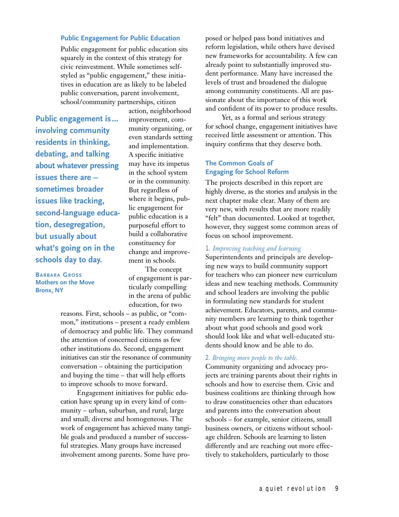#### **Public Engagement for Public Education**

Public engagement for public education sits squarely in the context of this strategy for civic reinvestment. While sometimes selfstyled as "public engagement," these initiatives in education are as likely to be labeled public conversation, parent involvement, school/community partnerships, citizen

**Public engagement is… involving community residents in thinking, debating, and talking about whatever pressing issues there are – sometimes broader issues like tracking, second-language education, desegregation, but usually about what's going on in the schools day to day.** 

**BARBARA GROSS Mothers on the Move Bronx, NY**

action, neighborhood improvement, community organizing, or even standards setting and implementation. A specific initiative may have its impetus in the school system or in the community. But regardless of where it begins, public engagement for public education is a purposeful effort to build a collaborative constituency for change and improvement in schools.

The concept of engagement is particularly compelling in the arena of public education, for two

reasons. First, schools – as public, or "common," institutions – present a ready emblem of democracy and public life. They command the attention of concerned citizens as few other institutions do. Second, engagement initiatives can stir the resonance of community conversation – obtaining the participation and buying the time – that will help efforts to improve schools to move forward.

Engagement initiatives for public education have sprung up in every kind of community – urban, suburban, and rural; large and small; diverse and homogeneous. The work of engagement has achieved many tangible goals and produced a number of successful strategies. Many groups have increased involvement among parents. Some have proposed or helped pass bond initiatives and reform legislation, while others have devised new frameworks for accountability. A few can already point to substantially improved student performance. Many have increased the levels of trust and broadened the dialogue among community constituents. All are passionate about the importance of this work and confident of its power to produce results.

Yet, as a formal and serious strategy for school change, engagement initiatives have received little assessment or attention. This inquiry confirms that they deserve both.

#### **The Common Goals of Engaging for School Reform**

The projects described in this report are highly diverse, as the stories and analysis in the next chapter make clear. Many of them are very new, with results that are more readily "felt" than documented. Looked at together, however, they suggest some common areas of focus on school improvement.

#### *1. Improving teaching and learning*

Superintendents and principals are developing new ways to build community support for teachers who can pioneer new curriculum ideas and new teaching methods. Community and school leaders are involving the public in formulating new standards for student achievement. Educators, parents, and community members are learning to think together about what good schools and good work should look like and what well-educated students should know and be able to do.

#### *2. Bringing more people to the table.*

Community organizing and advocacy projects are training parents about their rights in schools and how to exercise them. Civic and business coalitions are thinking through how to draw constituencies other than educators and parents into the conversation about schools – for example, senior citizens, small business owners, or citizens without schoolage children. Schools are learning to listen differently and are reaching out more effectively to stakeholders, particularly to those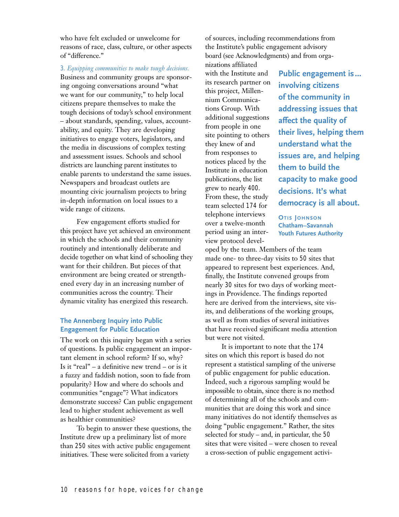who have felt excluded or unwelcome for reasons of race, class, culture, or other aspects of "difference."

#### *3. Equipping communities to make tough decisions.*

Business and community groups are sponsoring ongoing conversations around "what we want for our community," to help local citizens prepare themselves to make the tough decisions of today's school environment – about standards, spending, values, accountability, and equity. They are developing initiatives to engage voters, legislators, and the media in discussions of complex testing and assessment issues. Schools and school districts are launching parent institutes to enable parents to understand the same issues. Newspapers and broadcast outlets are mounting civic journalism projects to bring in-depth information on local issues to a wide range of citizens.

Few engagement efforts studied for this project have yet achieved an environment in which the schools and their community routinely and intentionally deliberate and decide together on what kind of schooling they want for their children. But pieces of that environment are being created or strengthened every day in an increasing number of communities across the country. Their dynamic vitality has energized this research.

#### **The Annenberg Inquiry into Public Engagement for Public Education**

The work on this inquiry began with a series of questions. Is public engagement an important element in school reform? If so, why? Is it "real" – a definitive new trend – or is it a fuzzy and faddish notion, soon to fade from popularity? How and where do schools and communities "engage"? What indicators demonstrate success? Can public engagement lead to higher student achievement as well as healthier communities?

To begin to answer these questions, the Institute drew up a preliminary list of more than 250 sites with active public engagement initiatives. These were solicited from a variety

of sources, including recommendations from the Institute's public engagement advisory board (see Acknowledgments) and from orga-

nizations affiliated with the Institute and its research partner on this project, Millennium Communications Group. With additional suggestions from people in one site pointing to others they knew of and from responses to notices placed by the Institute in education publications, the list grew to nearly 400. From these, the study team selected 174 for telephone interviews over a twelve-month period using an interview protocol devel-

**Public engagement is… involving citizens of the community in addressing issues that affect the quality of their lives, helping them understand what the issues are, and helping them to build the capacity to make good decisions. It's what democracy is all about.** 

**OTIS JOHNSON Chatham–Savannah Youth Futures Authority**

oped by the team. Members of the team made one- to three-day visits to 50 sites that appeared to represent best experiences. And, finally, the Institute convened groups from nearly 30 sites for two days of working meetings in Providence. The findings reported here are derived from the interviews, site visits, and deliberations of the working groups, as well as from studies of several initiatives that have received significant media attention but were not visited.

It is important to note that the 174 sites on which this report is based do not represent a statistical sampling of the universe of public engagement for public education. Indeed, such a rigorous sampling would be impossible to obtain, since there is no method of determining all of the schools and communities that are doing this work and since many initiatives do not identify themselves as doing "public engagement." Rather, the sites selected for study – and, in particular, the 50 sites that were visited – were chosen to reveal a cross-section of public engagement activi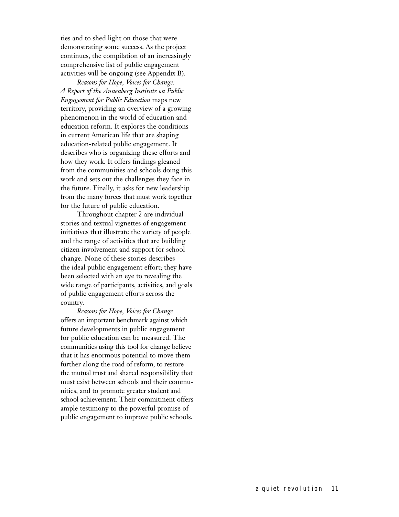ties and to shed light on those that were demonstrating some success. As the project continues, the compilation of an increasingly comprehensive list of public engagement activities will be ongoing (see Appendix B).

*Reasons for Hope, Voices for Change: A Report of the Annenberg Institute on Public Engagement for Public Education* maps new territory, providing an overview of a growing phenomenon in the world of education and education reform. It explores the conditions in current American life that are shaping education-related public engagement. It describes who is organizing these efforts and how they work. It offers findings gleaned from the communities and schools doing this work and sets out the challenges they face in the future. Finally, it asks for new leadership from the many forces that must work together for the future of public education.

Throughout chapter 2 are individual stories and textual vignettes of engagement initiatives that illustrate the variety of people and the range of activities that are building citizen involvement and support for school change. None of these stories describes the ideal public engagement effort; they have been selected with an eye to revealing the wide range of participants, activities, and goals of public engagement efforts across the country.

*Reasons for Hope, Voices for Change*  offers an important benchmark against which future developments in public engagement for public education can be measured. The communities using this tool for change believe that it has enormous potential to move them further along the road of reform, to restore the mutual trust and shared responsibility that must exist between schools and their communities, and to promote greater student and school achievement. Their commitment offers ample testimony to the powerful promise of public engagement to improve public schools.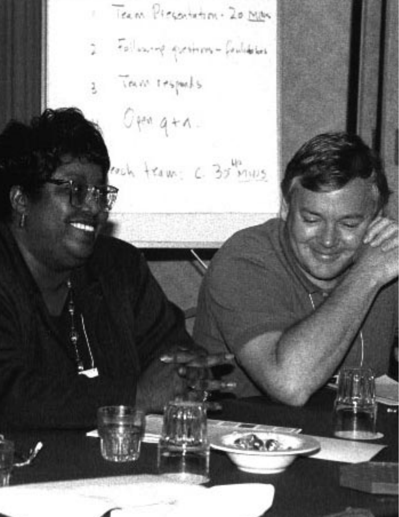Team Presentation - 20 Million Following gravition - Conlibration Train Trights  $Oenq+n$ roch tram: C. 35 Mills  $200$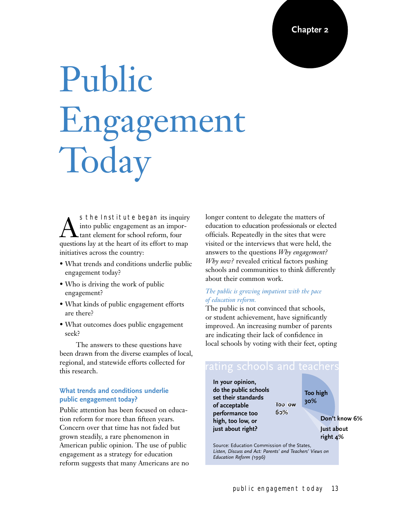# Public Engagement Today

s the Institute began its inquiry<br>into public engagement as an impor-<br>questions lay at the beart of its effort to man into public engagement as an important element for school reform, four questions lay at the heart of its effort to map initiatives across the country:

- What trends and conditions underlie public engagement today?
- Who is driving the work of public engagement?
- What kinds of public engagement efforts are there?
- What outcomes does public engagement seek?

The answers to these questions have been drawn from the diverse examples of local, regional, and statewide efforts collected for this research.

#### **What trends and conditions underlie public engagement today?**

Public attention has been focused on education reform for more than fifteen years. Concern over that time has not faded but grown steadily, a rare phenomenon in American public opinion. The use of public engagement as a strategy for education reform suggests that many Americans are no longer content to delegate the matters of education to education professionals or elected officials. Repeatedly in the sites that were visited or the interviews that were held, the answers to the questions *Why engagement? Why now?* revealed critical factors pushing schools and communities to think differently about their common work.

#### *The public is growing impatient with the pace of education reform.*

The public is not convinced that schools, or student achievement, have significantly improved. An increasing number of parents are indicating their lack of confidence in local schools by voting with their feet, opting

**Too low 60% In your opinion, do the public schools set their standards of acceptable performance too high, too low, or just about right?**

**Too high 30%**

> **Just about right 4% Don't know 6%**

Source: Education Commission of the States, *Listen, Discuss and Act: Parents' and Teachers' Views on Education Reform (1996)*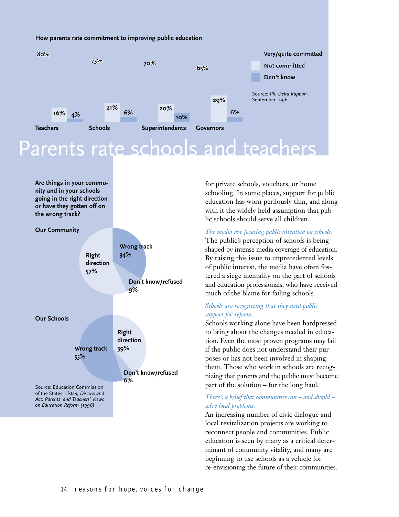#### **How parents rate commitment to improving public education**



# Parents rate schools and teachers



for private schools, vouchers, or home schooling. In some places, support for public education has worn perilously thin, and along with it the widely held assumption that public schools should serve all children.

#### *The media are focusing public attention on schools.*

The public's perception of schools is being shaped by intense media coverage of education. By raising this issue to unprecedented levels of public interest, the media have often fostered a siege mentality on the part of schools and education professionals, who have received much of the blame for failing schools.

#### *Schools are recognizing that they need public support for reform.*

Schools working alone have been hardpressed to bring about the changes needed in education. Even the most proven programs may fail if the public does not understand their purposes or has not been involved in shaping them. Those who work in schools are recognizing that parents and the public must become part of the solution – for the long haul.

#### *There's a belief that communities can – and should – solve local problems.*

An increasing number of civic dialogue and local revitalization projects are working to reconnect people and communities. Public education is seen by many as a critical determinant of community vitality, and many are beginning to use schools as a vehicle for re-envisioning the future of their communities.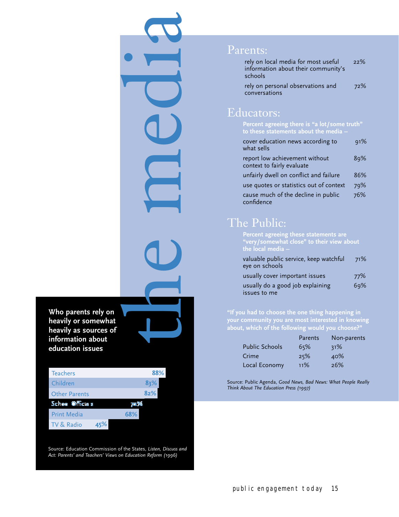|                                                                                         | $\Omega$   |
|-----------------------------------------------------------------------------------------|------------|
|                                                                                         |            |
|                                                                                         |            |
|                                                                                         | 1          |
|                                                                                         |            |
|                                                                                         | O          |
|                                                                                         |            |
| parents rely on<br>ily or somewhat<br>ily as sources of<br>mation about<br>ation issues |            |
| hers<br>dren                                                                            | 88%<br>83% |
|                                                                                         |            |

**Who parents rely on**  heav heav infor **educ** 

| <b>Teachers</b>      |     |     | 88% |
|----------------------|-----|-----|-----|
| Children             |     |     | 83% |
| <b>Other Parents</b> |     |     | 82% |
| Schoo Officias       |     | 72% |     |
| <b>Print Media</b>   |     | 68% |     |
| TV & Radio           | 45% |     |     |

Source: Education Commission of the States, *Listen, Discuss and Act: Parents' and Teachers' Views on Education Reform (1996)*

## Parents:

| rely on local media for most useful<br>information about their community's<br>schools | 22% |
|---------------------------------------------------------------------------------------|-----|
| rely on personal observations and<br>conversations                                    | 72% |

# Educators:

**Percent agreeing there is "a lot/some truth" to these statements about the media –**

| cover education news according to<br>what sells              | 91% |
|--------------------------------------------------------------|-----|
| report low achievement without<br>context to fairly evaluate | 89% |
| unfairly dwell on conflict and failure                       | 86% |
| use quotes or statistics out of context                      | 79% |
| cause much of the decline in public<br>confidence            | 76% |

# The Public:

**Percent agreeing these statements are "very/somewhat close" to their view about the local media –** valuable public service, keep watchful 71%

| eye on schools                   |     |
|----------------------------------|-----|
| usually cover important issues   | 77% |
| usually do a good job explaining | 69% |
| issues to me                     |     |

**"If you had to choose the one thing happening in your community you are most interested in knowing about, which of the following would you choose?"**

|                       | Parents | Non-parents |
|-----------------------|---------|-------------|
| <b>Public Schools</b> | 65%     | 31%         |
| Crime                 | 25%     | 40%         |
| Local Economy         | 11%     | <b>26%</b>  |

Source: Public Agenda, *Good News, Bad News: What People Really Think About The Education Press (1997)*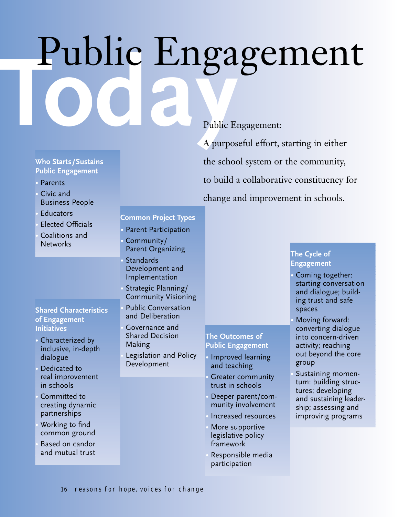# **Today** Public Engagement

#### **Who Starts/Sustains Public Engagement**

- Parents
- Civic and Business People
- Educators
- Elected Officials
- Coalitions and **Networks**

#### **Shared Characteristics of Engagement Initiatives**

- Characterized by inclusive, in-depth dialogue
- Dedicated to real improvement in schools
- Committed to creating dynamic partnerships
- Working to find common ground
- Based on candor and mutual trust

#### **Common Project Types**

- Parent Participation
- Community/ Parent Organizing
- Standards Development and Implementation
- Strategic Planning/ Community Visioning
- Public Conversation and Deliberation
- Governance and Shared Decision Making
- Legislation and Policy Development

#### **The Outcomes of Public Engagement**

- Improved learning and teaching
- Greater community trust in schools
- Deeper parent/community involvement
- Increased resources
- More supportive legislative policy framework
- Responsible media participation

## Public Engagement:

A purposeful effort, starting in either the school system or the community, to build a collaborative constituency for change and improvement in schools.

#### **The Cycle of Engagement**

- Coming together: starting conversation and dialogue; building trust and safe spaces
- Moving forward: converting dialogue into concern-driven activity; reaching out beyond the core group
- Sustaining momentum: building structures; developing and sustaining leadership; assessing and improving programs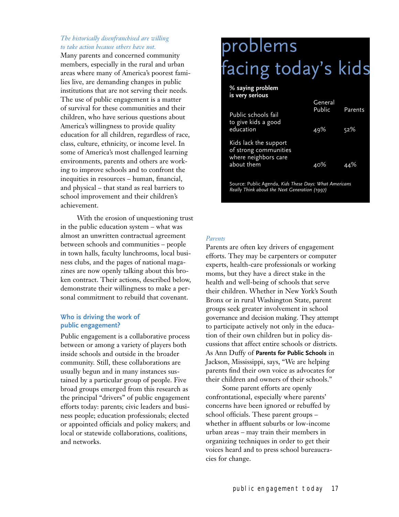#### *The historically disenfranchised are willing to take action because others have not.*

Many parents and concerned community members, especially in the rural and urban areas where many of America's poorest families live, are demanding changes in public institutions that are not serving their needs. The use of public engagement is a matter of survival for these communities and their children, who have serious questions about America's willingness to provide quality education for all children, regardless of race, class, culture, ethnicity, or income level. In some of America's most challenged learning environments, parents and others are working to improve schools and to confront the inequities in resources – human, financial, and physical – that stand as real barriers to school improvement and their children's achievement.

With the erosion of unquestioning trust in the public education system – what was almost an unwritten contractual agreement between schools and communities – people in town halls, faculty lunchrooms, local business clubs, and the pages of national magazines are now openly talking about this broken contract. Their actions, described below, demonstrate their willingness to make a personal commitment to rebuild that covenant.

#### **Who is driving the work of public engagement?**

Public engagement is a collaborative process between or among a variety of players both inside schools and outside in the broader community. Still, these collaborations are usually begun and in many instances sustained by a particular group of people. Five broad groups emerged from this research as the principal "drivers" of public engagement efforts today: parents; civic leaders and business people; education professionals; elected or appointed officials and policy makers; and local or statewide collaborations, coalitions, and networks.

# problems facing today's kids

| % saying problem<br>is very serious                                                                     |         |         |
|---------------------------------------------------------------------------------------------------------|---------|---------|
|                                                                                                         | General |         |
| Public schools fail<br>to give kids a good                                                              | Public  | Parents |
| education                                                                                               | 49%     | 52%     |
| Kids lack the support<br>of strong communities<br>where neighbors care                                  |         |         |
| about them                                                                                              | 40%     | 44%     |
| Source: Public Agenda, Kids These Days: What Americans<br>Really Think about the Next Generation (1997) |         |         |

#### *Parents*

Parents are often key drivers of engagement efforts. They may be carpenters or computer experts, health-care professionals or working moms, but they have a direct stake in the health and well-being of schools that serve their children. Whether in New York's South Bronx or in rural Washington State, parent groups seek greater involvement in school governance and decision making. They attempt to participate actively not only in the education of their own children but in policy discussions that affect entire schools or districts. As Ann Duffy of **Parents for Public Schools** in Jackson, Mississippi, says, "We are helping parents find their own voice as advocates for their children and owners of their schools."

Some parent efforts are openly confrontational, especially where parents' concerns have been ignored or rebuffed by school officials. These parent groups – whether in affluent suburbs or low-income urban areas – may train their members in organizing techniques in order to get their voices heard and to press school bureaucracies for change.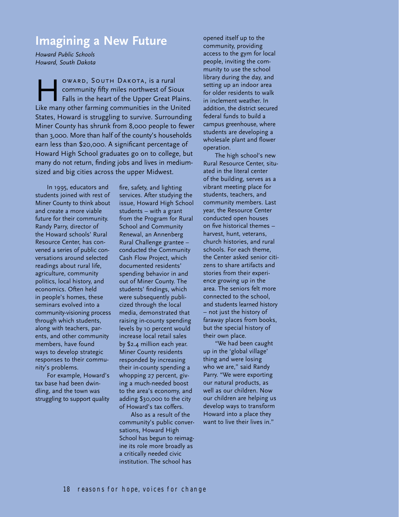## **Imagining a New Future**

*Howard Public Schools Howard, South Dakota*

OWARD, SOUTH DAKOTA, is a rural<br>community fifty miles northwest of Sio<br>Falls in the heart of the Upper Great Pl<br>like many other farming communities in the Up community fifty miles northwest of Sioux Falls in the heart of the Upper Great Plains. Like many other farming communities in the United States, Howard is struggling to survive. Surrounding Miner County has shrunk from 8,000 people to fewer than 3,000. More than half of the county's households earn less than \$20,000. A significant percentage of Howard High School graduates go on to college, but many do not return, finding jobs and lives in mediumsized and big cities across the upper Midwest.

In 1995, educators and students joined with rest of Miner County to think about and create a more viable future for their community. Randy Parry, director of the Howard schools' Rural Resource Center, has convened a series of public conversations around selected readings about rural life, agriculture, community politics, local history, and economics. Often held in people's homes, these seminars evolved into a community-visioning process through which students, along with teachers, parents, and other community members, have found ways to develop strategic responses to their community's problems.

For example, Howard's tax base had been dwindling, and the town was struggling to support quality

fire, safety, and lighting services. After studying the issue, Howard High School students – with a grant from the Program for Rural School and Community Renewal, an Annenberg Rural Challenge grantee – conducted the Community Cash Flow Project, which documented residents' spending behavior in and out of Miner County. The students' findings, which were subsequently publicized through the local media, demonstrated that raising in-county spending levels by 10 percent would increase local retail sales by \$2.4 million each year. Miner County residents responded by increasing their in-county spending a whopping 27 percent, giving a much-needed boost to the area's economy, and adding \$30,000 to the city of Howard's tax coffers.

Also as a result of the community's public conversations, Howard High School has begun to reimagine its role more broadly as a critically needed civic institution. The school has

opened itself up to the community, providing access to the gym for local people, inviting the community to use the school library during the day, and setting up an indoor area for older residents to walk in inclement weather. In addition, the district secured federal funds to build a campus greenhouse, where students are developing a wholesale plant and flower operation.

The high school's new Rural Resource Center, situated in the literal center of the building, serves as a vibrant meeting place for students, teachers, and community members. Last year, the Resource Center conducted open houses on five historical themes – harvest, hunt, veterans, church histories, and rural schools. For each theme, the Center asked senior citizens to share artifacts and stories from their experience growing up in the area. The seniors felt more connected to the school, and students learned history – not just the history of faraway places from books, but the special history of their own place.

"We had been caught up in the 'global village' thing and were losing who we are," said Randy Parry. "We were exporting our natural products, as well as our children. Now our children are helping us develop ways to transform Howard into a place they want to live their lives in."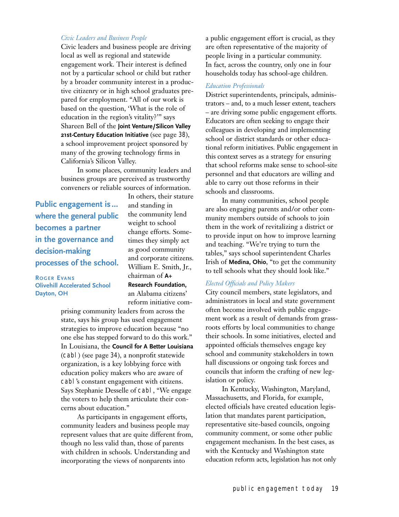#### *Civic Leaders and Business People*

Civic leaders and business people are driving local as well as regional and statewide engagement work. Their interest is defined not by a particular school or child but rather by a broader community interest in a productive citizenry or in high school graduates prepared for employment. "All of our work is based on the question, 'What is the role of education in the region's vitality?'" says Shareen Bell of the **Joint Venture/Silicon Valley 21st-Century Education Initiative** (see page 38), a school improvement project sponsored by many of the growing technology firms in California's Silicon Valley.

In some places, community leaders and business groups are perceived as trustworthy conveners or reliable sources of information.

**Public engagement is… where the general public becomes a partner in the governance and decision-making processes of the school.**  In others, their stature and standing in the community lend weight to school change efforts. Sometimes they simply act as good community and corporate citizens. William E. Smith, Jr., chairman of **A+ Research Foundation,** an Alabama citizens' reform initiative com-

**ROGER EVANS Olivehill Accelerated School Dayton, OH**

> prising community leaders from across the state, says his group has used engagement strategies to improve education because "no one else has stepped forward to do this work." In Louisiana, the **Council for A Better Louisiana** (cabl) (see page 34), a nonprofit statewide organization, is a key lobbying force with education policy makers who are aware of cabl's constant engagement with citizens. Says Stephanie Desselle of cabl, "We engage the voters to help them articulate their concerns about education."

> As participants in engagement efforts, community leaders and business people may represent values that are quite different from, though no less valid than, those of parents with children in schools. Understanding and incorporating the views of nonparents into

a public engagement effort is crucial, as they are often representative of the majority of people living in a particular community. In fact, across the country, only one in four households today has school-age children.

#### *Education Professionals*

District superintendents, principals, administrators – and, to a much lesser extent, teachers – are driving some public engagement efforts. Educators are often seeking to engage their colleagues in developing and implementing school or district standards or other educational reform initiatives. Public engagement in this context serves as a strategy for ensuring that school reforms make sense to school-site personnel and that educators are willing and able to carry out those reforms in their schools and classrooms.

In many communities, school people are also engaging parents and/or other community members outside of schools to join them in the work of revitalizing a district or to provide input on how to improve learning and teaching. "We're trying to turn the tables," says school superintendent Charles Irish of **Medina, Ohio**, "to get the community to tell schools what they should look like."

#### *Elected Officials and Policy Makers*

City council members, state legislators, and administrators in local and state government often become involved with public engagement work as a result of demands from grassroots efforts by local communities to change their schools. In some initiatives, elected and appointed officials themselves engage key school and community stakeholders in town hall discussions or ongoing task forces and councils that inform the crafting of new legislation or policy.

In Kentucky, Washington, Maryland, Massachusetts, and Florida, for example, elected officials have created education legislation that mandates parent participation, representative site-based councils, ongoing community comment, or some other public engagement mechanism. In the best cases, as with the Kentucky and Washington state education reform acts, legislation has not only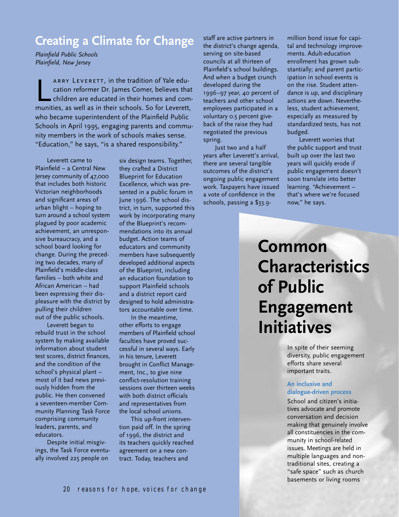# **Creating a Climate for Change**

*Plainfield Public Schools Plainfield, New Jersey*

ARRY LEVERETT, in the tradition of Yale education reformer Dr. James Comer, believes that children are educated in their homes and communities, as well as in their schools. So for Leverett,  $\overline{a}$  arry Leverett, in the tradition of Yale education reformer Dr. James Comer, believes that children are educated in their homes and comwho became superintendent of the Plainfield Public Schools in April 1995, engaging parents and community members in the work of schools makes sense. "Education," he says, "is a shared responsibility."

Leverett came to Plainfield – a Central New Jersey community of 47,000 that includes both historic Victorian neighborhoods and significant areas of urban blight – hoping to turn around a school system plagued by poor academic achievement, an unresponsive bureaucracy, and a school board looking for change. During the preceding two decades, many of Plainfield's middle-class families – both white and African American – had been expressing their displeasure with the district by pulling their children out of the public schools.

Leverett began to rebuild trust in the school system by making available information about student test scores, district finances, and the condition of the school's physical plant – most of it bad news previously hidden from the public. He then convened a seventeen-member Community Planning Task Force comprising community leaders, parents, and educators.

Despite initial misgivings, the Task Force eventually involved 225 people on

six design teams. Together, they crafted a District Blueprint for Education Excellence, which was presented in a public forum in June 1996. The school district, in turn, supported this work by incorporating many of the Blueprint's recommendations into its annual budget. Action teams of educators and community members have subsequently developed additional aspects of the Blueprint, including an education foundation to support Plainfield schools and a district report card designed to hold administrators accountable over time.

In the meantime, other efforts to engage members of Plainfield school faculties have proved successful in several ways. Early in his tenure, Leverett brought in Conflict Management, Inc., to give nine conflict-resolution training sessions over thirteen weeks with both district officials and representatives from the local school unions.

This up-front intervention paid off. In the spring of 1996, the district and its teachers quickly reached agreement on a new contract. Today, teachers and

staff are active partners in the district's change agenda, serving on site-based councils at all thirteen of Plainfield's school buildings. And when a budget crunch developed during the 1996–97 year, 40 percent of teachers and other school employees participated in a voluntary 0.5 percent giveback of the raise they had negotiated the previous spring.

Just two and a half years after Leverett's arrival, there are several tangible outcomes of the district's ongoing public engagement work. Taxpayers have issued a vote of confidence in the schools, passing a \$33.9million bond issue for capital and technology improvements. Adult-education enrollment has grown substantially; and parent participation in school events is on the rise. Student attendance is up, and disciplinary actions are down. Nevertheless, student achievement, especially as measured by standardized tests, has not budged.

Leverett worries that the public support and trust built up over the last two years will quickly erode if public engagement doesn't soon translate into better learning. "Achievement – that's where we're focused now," he says.

# **Common Characteristics of Public Engagement Initiatives**

In spite of their seeming diversity, public engagement efforts share several important traits.

#### **An inclusive and dialogue-driven process**

School and citizen's initiatives advocate and promote conversation and decision making that genuinely involve all constituencies in the community in school-related issues. Meetings are held in multiple languages and nontraditional sites, creating a "safe space" such as church basements or living rooms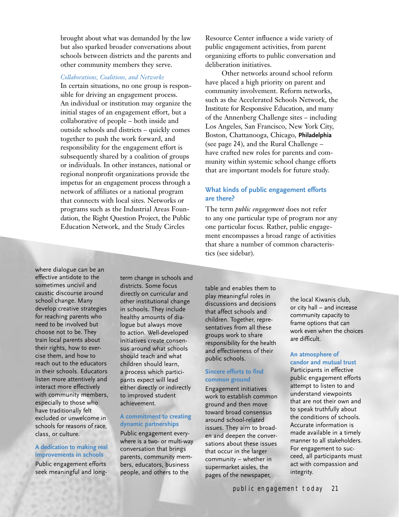brought about what was demanded by the law but also sparked broader conversations about schools between districts and the parents and other community members they serve.

#### *Collaborations, Coalitions, and Networks*

In certain situations, no one group is responsible for driving an engagement process. An individual or institution may organize the initial stages of an engagement effort, but a collaborative of people – both inside and outside schools and districts – quickly comes together to push the work forward, and responsibility for the engagement effort is subsequently shared by a coalition of groups or individuals. In other instances, national or regional nonprofit organizations provide the impetus for an engagement process through a network of affiliates or a national program that connects with local sites. Networks or programs such as the Industrial Areas Foundation, the Right Question Project, the Public Education Network, and the Study Circles

Resource Center influence a wide variety of public engagement activities, from parent organizing efforts to public conversation and deliberation initiatives.

Other networks around school reform have placed a high priority on parent and community involvement. Reform networks, such as the Accelerated Schools Network, the Institute for Responsive Education, and many of the Annenberg Challenge sites – including Los Angeles, San Francisco, New York City, Boston, Chattanooga, Chicago, **Philadelphia** (see page 24), and the Rural Challenge – have crafted new roles for parents and community within systemic school change efforts that are important models for future study.

#### **What kinds of public engagement efforts are there?**

The term *public engagement* does not refer to any one particular type of program nor any one particular focus. Rather, public engagement encompasses a broad range of activities that share a number of common characteristics (see sidebar).

where dialogue can be an effective antidote to the sometimes uncivil and caustic discourse around school change. Many develop creative strategies for reaching parents who need to be involved but choose not to be. They train local parents about their rights, how to exercise them, and how to reach out to the educators in their schools. Educators listen more attentively and interact more effectively with community members, especially to those who have traditionally felt excluded or unwelcome in schools for reasons of race, class, or culture.

#### **A dedication to making real improvements in schools**

Public engagement efforts seek meaningful and longterm change in schools and districts. Some focus directly on curricular and other institutional change in schools. They include healthy amounts of dialogue but always move to action. Well-developed initiatives create consensus around what schools should teach and what children should learn, a process which participants expect will lead either directly or indirectly to improved student achievement.

#### **A commitment to creating dynamic partnerships**

Public engagement everywhere is a two- or multi-way conversation that brings parents, community members, educators, business people, and others to the

table and enables them to play meaningful roles in discussions and decisions that affect schools and children. Together, representatives from all these groups work to share responsibility for the health and effectiveness of their public schools.

#### **Sincere efforts to find common ground**

Engagement initiatives work to establish common ground and then move toward broad consensus around school-related issues. They aim to broaden and deepen the conversations about these issues that occur in the larger community – whether in supermarket aisles, the pages of the newspaper,

the local Kiwanis club, or city hall – and increase community capacity to frame options that can work even when the choices are difficult.

#### **An atmosphere of candor and mutual trust**

Participants in effective public engagement efforts attempt to listen to and understand viewpoints that are not their own and to speak truthfully about the conditions of schools. Accurate information is made available in a timely manner to all stakeholders. For engagement to succeed, all participants must act with compassion and integrity.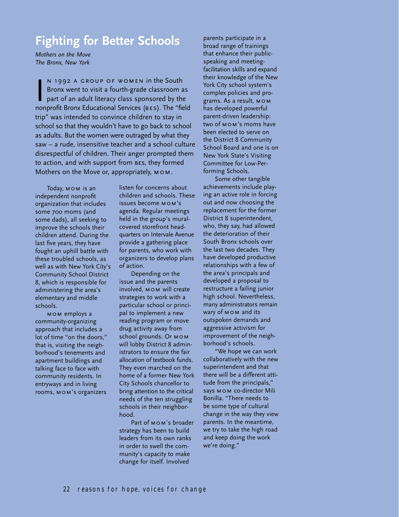## **Fighting for Better Schools**

*Mothers on the Move The Bronx, New York*

N 1992 A GROUP OF WOMEN in the South<br>Bronx went to visit a fourth-grade classroom as<br>part of an adult literacy class sponsored by the<br>nonprofit Bronx Educational Services (BES). The "field n 1992 a group of women in the South Bronx went to visit a fourth-grade classroom as part of an adult literacy class sponsored by the trip" was intended to convince children to stay in school so that they wouldn't have to go back to school as adults. But the women were outraged by what they saw – a rude, insensitive teacher and a school culture disrespectful of children. Their anger prompted them to action, and with support from bes, they formed Mothers on the Move or, appropriately, mom.

Today, mom is an independent nonprofit organization that includes some 700 moms (and some dads), all seeking to improve the schools their children attend. During the last five years, they have fought an uphill battle with these troubled schools, as well as with New York City's Community School District 8, which is responsible for administering the area's elementary and middle schools.

mom employs a community-organizing approach that includes a lot of time "on the doors," that is, visiting the neighborhood's tenements and apartment buildings and talking face to face with community residents. In entryways and in living rooms, mom's organizers listen for concerns about children and schools. These issues become mom's agenda. Regular meetings held in the group's muralcovered storefront headquarters on Intervale Avenue provide a gathering place for parents, who work with organizers to develop plans of action.

Depending on the issue and the parents involved, mom will create strategies to work with a particular school or principal to implement a new reading program or move drug activity away from school grounds. Or mom will lobby District 8 administrators to ensure the fair allocation of textbook funds. They even marched on the home of a former New York City Schools chancellor to bring attention to the critical needs of the ten struggling schools in their neighborhood.

Part of mom's broader strategy has been to build leaders from its own ranks in order to swell the community's capacity to make change for itself. Involved

parents participate in a broad range of trainings that enhance their publicspeaking and meetingfacilitation skills and expand their knowledge of the New York City school system's complex policies and programs. As a result, mom has developed powerful parent-driven leadership: two of mom's moms have been elected to serve on the District 8 Community School Board and one is on New York State's Visiting Committee for Low-Performing Schools.

Some other tangible achievements include playing an active role in forcing out and now choosing the replacement for the former District 8 superintendent, who, they say, had allowed the deterioration of their South Bronx schools over the last two decades. They have developed productive relationships with a few of the area's principals and developed a proposal to restructure a failing junior high school. Nevertheless, many administrators remain wary of mom and its outspoken demands and aggressive activism for improvement of the neighborhood's schools.

"We hope we can work collaboratively with the new superintendent and that there will be a different attitude from the principals," says mom co-director Mili Bonilla. "There needs to be some type of cultural change in the way they view parents. In the meantime, we try to take the high road and keep doing the work we're doing."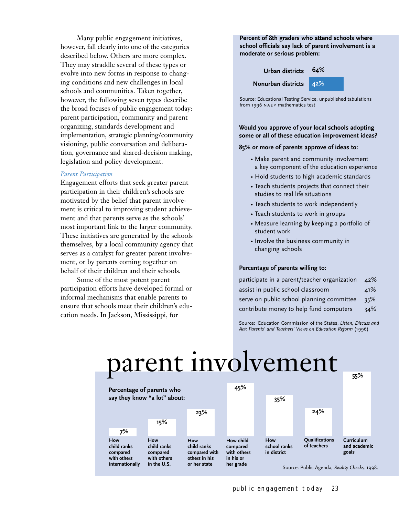Many public engagement initiatives, however, fall clearly into one of the categories described below. Others are more complex. They may straddle several of these types or evolve into new forms in response to changing conditions and new challenges in local schools and communities. Taken together, however, the following seven types describe the broad focuses of public engagement today: parent participation, community and parent organizing, standards development and implementation, strategic planning/community visioning, public conversation and deliberation, governance and shared-decision making, legislation and policy development.

#### *Parent Participation*

Engagement efforts that seek greater parent participation in their children's schools are motivated by the belief that parent involvement is critical to improving student achievement and that parents serve as the schools' most important link to the larger community. These initiatives are generated by the schools themselves, by a local community agency that serves as a catalyst for greater parent involvement, or by parents coming together on behalf of their children and their schools.

Some of the most potent parent participation efforts have developed formal or informal mechanisms that enable parents to ensure that schools meet their children's education needs. In Jackson, Mississippi, for

**Percent of 8th graders who attend schools where school officials say lack of parent involvement is a moderate or serious problem:**





Source: Educational Testing Service, unpublished tabulations from 1996 NAEP mathematics test

**Would you approve of your local schools adopting some or all of these education improvement ideas?** 

#### **85% or more of parents approve of ideas to:**

- Make parent and community involvement a key component of the education experience
- Hold students to high academic standards
- Teach students projects that connect their studies to real life situations
- Teach students to work independently
- Teach students to work in groups
- Measure learning by keeping a portfolio of student work
- Involve the business community in changing schools

#### **Percentage of parents willing to:**

| participate in a parent/teacher organization | 42% |
|----------------------------------------------|-----|
| assist in public school classroom            | 41% |
| serve on public school planning committee    | 35% |
| contribute money to help fund computers      | 34% |

Source: Education Commission of the States, *Listen, Discuss and Act: Parents' and Teachers' Views on Education Reform* (1996)

# parent involvement

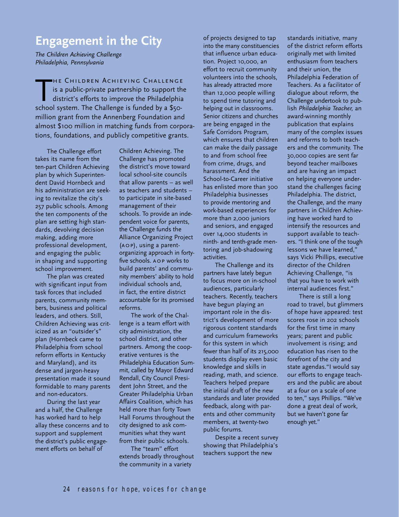## **Engagement in the City**

*The Children Achieving Challenge Philadelphia, Pennsylvania*

HE CHILDREN ACHIEVING CHALLENGE<br>is a public-private partnership to support the<br>district's efforts to improve the Philadelphia<br>school system. The Challenge is funded by a \$50he Children Achieving Challenge is a public-private partnership to support the district's efforts to improve the Philadelphia million grant from the Annenberg Foundation and almost \$100 million in matching funds from corporations, foundations, and publicly competitive grants.

The Challenge effort takes its name from the ten-part Children Achieving plan by which Superintendent David Hornbeck and his administration are seeking to revitalize the city's 257 public schools. Among the ten components of the plan are setting high standards, devolving decision making, adding more professional development, and engaging the public in shaping and supporting school improvement.

The plan was created with significant input from task forces that included parents, community members, business and political leaders, and others. Still, Children Achieving was criticized as an "outsider's" plan (Hornbeck came to Philadelphia from school reform efforts in Kentucky and Maryland), and its dense and jargon-heavy presentation made it sound formidable to many parents and non-educators.

During the last year and a half, the Challenge has worked hard to help allay these concerns and to support and supplement the district's public engagement efforts on behalf of

Children Achieving. The Challenge has promoted the district's move toward local school-site councils that allow parents – as well as teachers and students – to participate in site-based management of their schools. To provide an independent voice for parents, the Challenge funds the Alliance Organizing Project (aop), using a parentorganizing approach in fortyfive schools. aop works to build parents' and community members' ability to hold individual schools and, in fact, the entire district accountable for its promised reforms.

The work of the Challenge is a team effort with city administration, the school district, and other partners. Among the cooperative ventures is the Philadelphia Education Summit, called by Mayor Edward Rendall, City Council President John Street, and the Greater Philadelphia Urban Affairs Coalition, which has held more than forty Town Hall Forums throughout the city designed to ask communities what they want from their public schools.

The "team" effort extends broadly throughout the community in a variety

of projects designed to tap into the many constituencies that influence urban education. Project 10,000, an effort to recruit community volunteers into the schools, has already attracted more than 12,000 people willing to spend time tutoring and helping out in classrooms. Senior citizens and churches are being engaged in the Safe Corridors Program, which ensures that children can make the daily passage to and from school free from crime, drugs, and harassment. And the School-to-Career initiative has enlisted more than 300 Philadelphia businesses to provide mentoring and work-based experiences for more than 2,000 juniors and seniors, and engaged over 14,000 students in ninth- and tenth-grade mentoring and job-shadowing activities.

The Challenge and its partners have lately begun to focus more on in-school audiences, particularly teachers. Recently, teachers have begun playing an important role in the district's development of more rigorous content standards and curriculum frameworks for this system in which fewer than half of its 215,000 students display even basic knowledge and skills in reading, math, and science. Teachers helped prepare the initial draft of the new standards and later provided feedback, along with parents and other community members, at twenty-two public forums.

Despite a recent survey showing that Philadelphia's teachers support the new

standards initiative, many of the district reform efforts originally met with limited enthusiasm from teachers and their union, the Philadelphia Federation of Teachers. As a facilitator of dialogue about reform, the Challenge undertook to publish *Philadelphia Teacher,* an award-winning monthly publication that explains many of the complex issues and reforms to both teachers and the community. The 30,000 copies are sent far beyond teacher mailboxes and are having an impact on helping everyone understand the challenges facing Philadelphia. The district, the Challenge, and the many partners in Children Achieving have worked hard to intensify the resources and support available to teachers. "I think one of the tough lessons we have learned," says Vicki Phillips, executive director of the Children Achieving Challenge, "is that you have to work with internal audiences first."

There is still a long road to travel, but glimmers of hope have appeared: test scores rose in 202 schools for the first time in many years; parent and public involvement is rising; and education has risen to the forefront of the city and state agendas."I would say our efforts to engage teachers and the public are about at a four on a scale of one to ten," says Phillips. "We've done a great deal of work, but we haven't gone far enough yet."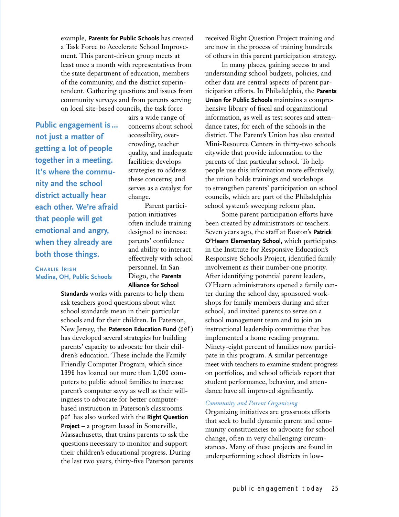example, **Parents for Public Schools** has created a Task Force to Accelerate School Improvement. This parent-driven group meets at least once a month with representatives from the state department of education, members of the community, and the district superintendent. Gathering questions and issues from community surveys and from parents serving on local site-based councils, the task force

**Public engagement is… not just a matter of getting a lot of people together in a meeting. It's where the community and the school district actually hear each other. We're afraid that people will get emotional and angry, when they already are both those things.**

**CHARLIE IRISH Medina, OH, Public Schools** airs a wide range of concerns about school accessibility, overcrowding, teacher quality, and inadequate facilities; develops strategies to address these concerns; and serves as a catalyst for change.

Parent participation initiatives often include training designed to increase parents' confidence and ability to interact effectively with school personnel. In San Diego, the **Parents Alliance for School**

**Standards** works with parents to help them ask teachers good questions about what school standards mean in their particular schools and for their children. In Paterson, New Jersey, the **Paterson Education Fund** (pef) has developed several strategies for building parents' capacity to advocate for their children's education. These include the Family Friendly Computer Program, which since 1996 has loaned out more than 1,000 computers to public school families to increase parent's computer savvy as well as their willingness to advocate for better computerbased instruction in Paterson's classrooms. pef has also worked with the **Right Question Project** – a program based in Somerville, Massachusetts, that trains parents to ask the questions necessary to monitor and support their children's educational progress. During the last two years, thirty-five Paterson parents received Right Question Project training and are now in the process of training hundreds of others in this parent participation strategy.

In many places, gaining access to and understanding school budgets, policies, and other data are central aspects of parent participation efforts. In Philadelphia, the **Parents Union for Public Schools** maintains a comprehensive library of fiscal and organizational information, as well as test scores and attendance rates, for each of the schools in the district. The Parent's Union has also created Mini-Resource Centers in thirty-two schools citywide that provide information to the parents of that particular school. To help people use this information more effectively, the union holds trainings and workshops to strengthen parents' participation on school councils, which are part of the Philadelphia school system's sweeping reform plan.

Some parent participation efforts have been created by administrators or teachers. Seven years ago, the staff at Boston's **Patrick O'Hearn Elementary School,** which participates in the Institute for Responsive Education's Responsive Schools Project, identified family involvement as their number-one priority. After identifying potential parent leaders, O'Hearn administrators opened a family center during the school day, sponsored workshops for family members during and after school, and invited parents to serve on a school management team and to join an instructional leadership committee that has implemented a home reading program. Ninety-eight percent of families now participate in this program. A similar percentage meet with teachers to examine student progress on portfolios, and school officials report that student performance, behavior, and attendance have all improved significantly.

#### *Community and Parent Organizing*

Organizing initiatives are grassroots efforts that seek to build dynamic parent and community constituencies to advocate for school change, often in very challenging circumstances. Many of these projects are found in underperforming school districts in low-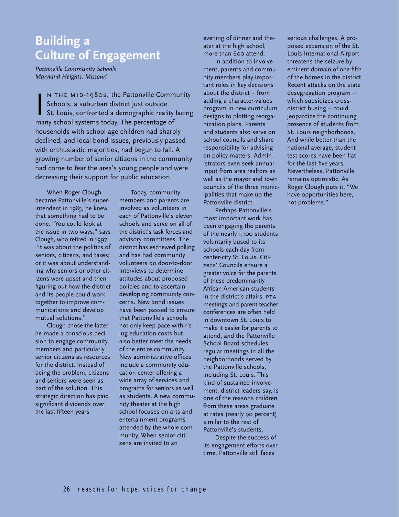# **Building a Culture of Engagement**

*Pattonville Community Schools Maryland Heights, Missouri*

N THE MID-1980s, the Pattonville Comm<br>Schools, a suburban district just outside<br>St. Louis, confronted a demographic reality<br>many school systems today. The percentage of n the mid-1980s, the Pattonville Community Schools, a suburban district just outside St. Louis, confronted a demographic reality facing households with school-age children had sharply declined, and local bond issues, previously passed with enthusiastic majorities, had begun to fail. A growing number of senior citizens in the community had come to fear the area's young people and were decreasing their support for public education.

When Roger Clough became Pattonville's superintendent in 1985, he knew that something had to be done. "You could look at the issue in two ways," says Clough, who retired in 1997. "It was about the politics of seniors, citizens, and taxes; or it was about understanding why seniors or other citizens were upset and then figuring out how the district and its people could work together to improve communications and develop mutual solutions."

Clough chose the latter: he made a conscious decision to engage community members and particularly senior citizens as resources for the district. Instead of being the problem, citizens and seniors were seen as part of the solution. This strategic direction has paid significant dividends over the last fifteen years.

Today, community members and parents are involved as volunteers in each of Pattonville's eleven schools and serve on all of the district's task forces and advisory committees. The district has eschewed polling and has had community volunteers do door-to-door interviews to determine attitudes about proposed policies and to ascertain developing community concerns. New bond issues have been passed to ensure that Pattonville's schools not only keep pace with rising education costs but also better meet the needs of the entire community. New administrative offices include a community education center offering a wide array of services and programs for seniors as well as students. A new community theater at the high school focuses on arts and entertainment programs attended by the whole community. When senior citizens are invited to an

evening of dinner and theater at the high school, more than 600 attend.

In addition to involvement, parents and community members play important roles in key decisions about the district – from adding a character-values program in new curriculum designs to plotting reorganization plans. Parents and students also serve on school councils and share responsibility for advising on policy matters. Administrators even seek annual input from area realtors as well as the mayor and town councils of the three municipalities that make up the Pattonville district.

Perhaps Pattonville's most important work has been engaging the parents of the nearly 1,100 students voluntarily bused to its schools each day from center-city St. Louis. Citizens' Councils ensure a greater voice for the parents of these predominantly African American students in the district's affairs. PTA meetings and parent-teacher conferences are often held in downtown St. Louis to make it easier for parents to attend, and the Pattonville School Board schedules regular meetings in all the neighborhoods served by the Pattonville schools, including St. Louis. This kind of sustained involvement, district leaders say, is one of the reasons children from these areas graduate at rates (nearly 90 percent) similar to the rest of Pattonville's students.

Despite the success of its engagement efforts over time, Pattonville still faces

serious challenges. A proposed expansion of the St. Louis International Airport threatens the seizure by eminent domain of one-fifth of the homes in the district. Recent attacks on the state desegregation program – which subsidizes crossdistrict busing – could jeopardize the continuing presence of students from St. Louis neighborhoods. And while better than the national average, student test scores have been flat for the last five years. Nevertheless, Pattonville remains optimistic. As Roger Clough puts it, "We have opportunities here, not problems."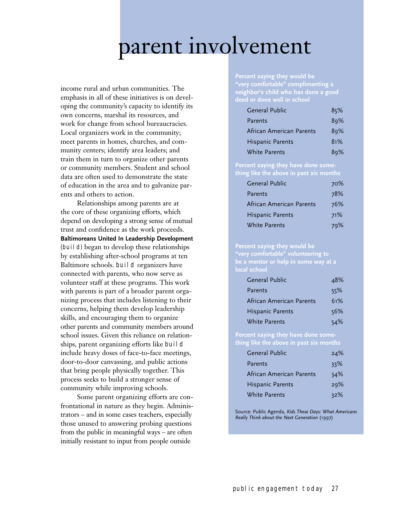# parent involvement

income rural and urban communities. The emphasis in all of these initiatives is on developing the community's capacity to identify its own concerns, marshal its resources, and work for change from school bureaucracies. Local organizers work in the community; meet parents in homes, churches, and community centers; identify area leaders; and train them in turn to organize other parents or community members. Student and school data are often used to demonstrate the state of education in the area and to galvanize parents and others to action.

Relationships among parents are at the core of these organizing efforts, which depend on developing a strong sense of mutual trust and confidence as the work proceeds. **Baltimoreans United In Leadership Development** (build) began to develop these relationships by establishing after-school programs at ten Baltimore schools. build organizers have connected with parents, who now serve as volunteer staff at these programs. This work with parents is part of a broader parent organizing process that includes listening to their concerns, helping them develop leadership skills, and encouraging them to organize other parents and community members around school issues. Given this reliance on relationships, parent organizing efforts like build include heavy doses of face-to-face meetings, door-to-door canvassing, and public actions that bring people physically together. This process seeks to build a stronger sense of community while improving schools.

Some parent organizing efforts are confrontational in nature as they begin. Administrators – and in some cases teachers, especially those unused to answering probing questions from the public in meaningful ways – are often initially resistant to input from people outside

**Percent saying they would be "very comfortable" complimenting a neighbor's child who has done a good deed or done well in school**

| <b>General Public</b>    | 85% |
|--------------------------|-----|
| Parents                  | 89% |
| African American Parents | 89% |
| <b>Hispanic Parents</b>  | 81% |
| <b>White Parents</b>     | 89% |

Percent saying they have done some **thing like the above in past six months**

| <b>General Public</b>    | 70% |
|--------------------------|-----|
| Parents                  | 78% |
| African American Parents | 76% |
| <b>Hispanic Parents</b>  | 71% |
| White Parents            | 79% |

**Percent saying they would be "very comfortable" volunteering to be a mentor or help in some way at a** 

| <b>General Public</b>    | 48% |
|--------------------------|-----|
| Parents                  | 55% |
| African American Parents | 61% |
| <b>Hispanic Parents</b>  | 56% |
| White Parents            | 54% |

**Percent saying they have done something like the above in past six months**

| <b>General Public</b>    | 24% |
|--------------------------|-----|
| Parents                  | 33% |
| African American Parents | 34% |
| <b>Hispanic Parents</b>  | 29% |
| White Parents            | 32% |

Source: Public Agenda, *Kids These Days: What Americans Really Think about the Next Generation* (1997)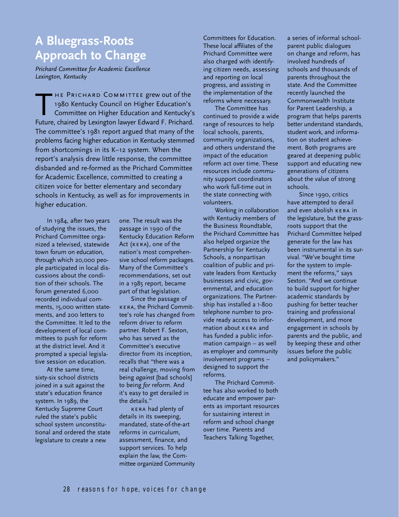# **A Bluegrass-Roots Approach to Change**

*Prichard Committee for Academic Excellence Lexington, Kentucky*

HE PRICHARD COMMITTEE grew out of the<br>1980 Kentucky Council on Higher Education's<br>Committee on Higher Education and Kentucky<br>Future chaired by Lexington Jawyer Edward E. Prichard 1980 Kentucky Council on Higher Education's Committee on Higher Education and Kentucky's Future, chaired by Lexington lawyer Edward F. Prichard. The committee's 1981 report argued that many of the problems facing higher education in Kentucky stemmed from shortcomings in its K–12 system. When the report's analysis drew little response, the committee disbanded and re-formed as the Prichard Committee for Academic Excellence, committed to creating a citizen voice for better elementary and secondary schools in Kentucky, as well as for improvements in higher education.

In 1984, after two years of studying the issues, the Prichard Committee organized a televised, statewide town forum on education, through which 20,000 people participated in local discussions about the condition of their schools. The forum generated 6,000 recorded individual comments, 15,000 written statements, and 200 letters to the Committee. It led to the development of local committees to push for reform at the district level. And it prompted a special legislative session on education.

At the same time, sixty-six school districts joined in a suit against the state's education finance system. In 1989, the Kentucky Supreme Court ruled the state's public school system unconstitutional and ordered the state legislature to create a new

one. The result was the passage in 1990 of the Kentucky Education Reform Act (kera), one of the nation's most comprehensive school reform packages. Many of the Committee's recommendations, set out in a 1985 report, became part of that legislation.

Since the passage of kera, the Prichard Committee's role has changed from reform driver to reform partner. Robert F. Sexton, who has served as the Committee's executive director from its inception, recalls that "there was a real challenge, moving from being *against* [bad schools] to being *for* reform. And it's easy to get derailed in the details."

kera had plenty of details in its sweeping, mandated, state-of-the-art reforms in curriculum, assessment, finance, and support services. To help explain the law, the Committee organized Community

Committees for Education. These local affiliates of the Prichard Committee were also charged with identifying citizen needs, assessing and reporting on local progress, and assisting in the implementation of the reforms where necessary.

The Committee has continued to provide a wide range of resources to help local schools, parents, community organizations, and others understand the impact of the education reform act over time. These resources include community support coordinators who work full-time out in the state connecting with volunteers.

Working in collaboration with Kentucky members of the Business Roundtable, the Prichard Committee has also helped organize the Partnership for Kentucky Schools, a nonpartisan coalition of public and private leaders from Kentucky businesses and civic, governmental, and education organizations. The Partnership has installed a 1-800 telephone number to provide ready access to information about kera and has funded a public information campaign – as well as employer and community involvement programs – designed to support the reforms.

The Prichard Committee has also worked to both educate and empower parents as important resources for sustaining interest in reform and school change over time. Parents and Teachers Talking Together,

a series of informal schoolparent public dialogues on change and reform, has involved hundreds of schools and thousands of parents throughout the state. And the Committee recently launched the Commonwealth Institute for Parent Leadership, a program that helps parents better understand standards, student work, and information on student achievement. Both programs are geared at deepening public support and educating new generations of citizens about the value of strong schools.

Since 1990, critics have attempted to derail and even abolish kera in the legislature, but the grassroots support that the Prichard Committee helped generate for the law has been instrumental in its survival. "We've bought time for the system to implement the reforms," says Sexton. "And we continue to build support for higher academic standards by pushing for better teacher training and professional development, and more engagement in schools by parents and the public, and by keeping these and other issues before the public and policymakers."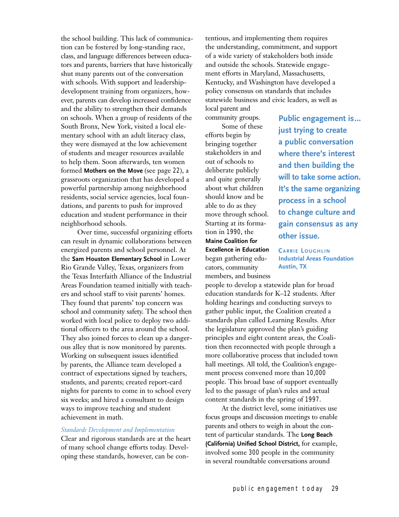the school building. This lack of communication can be fostered by long-standing race, class, and language differences between educators and parents, barriers that have historically shut many parents out of the conversation with schools. With support and leadershipdevelopment training from organizers, however, parents can develop increased confidence and the ability to strengthen their demands on schools. When a group of residents of the South Bronx, New York, visited a local elementary school with an adult literacy class, they were dismayed at the low achievement of students and meager resources available to help them. Soon afterwards, ten women formed **Mothers on the Move** (see page 22), a grassroots organization that has developed a powerful partnership among neighborhood residents, social service agencies, local foundations, and parents to push for improved education and student performance in their neighborhood schools.

Over time, successful organizing efforts can result in dynamic collaborations between energized parents and school personnel. At the **Sam Houston Elementary School** in Lower Rio Grande Valley, Texas, organizers from the Texas Interfaith Alliance of the Industrial Areas Foundation teamed initially with teachers and school staff to visit parents' homes. They found that parents' top concern was school and community safety. The school then worked with local police to deploy two additional officers to the area around the school. They also joined forces to clean up a dangerous alley that is now monitored by parents. Working on subsequent issues identified by parents, the Alliance team developed a contract of expectations signed by teachers, students, and parents; created report-card nights for parents to come in to school every six weeks; and hired a consultant to design ways to improve teaching and student achievement in math.

#### *Standards Development and Implementation*

Clear and rigorous standards are at the heart of many school change efforts today. Developing these standards, however, can be contentious, and implementing them requires the understanding, commitment, and support of a wide variety of stakeholders both inside and outside the schools. Statewide engagement efforts in Maryland, Massachusetts, Kentucky, and Washington have developed a policy consensus on standards that includes statewide business and civic leaders, as well as

local parent and community groups.

Some of these efforts begin by bringing together stakeholders in and out of schools to deliberate publicly and quite generally about what children should know and be able to do as they move through school. Starting at its formation in 1990, the **Maine Coalition for Excellence in Education** began gathering educators, community members, and business

**Public engagement is… just trying to create a public conversation where there's interest and then building the will to take some action. It's the same organizing process in a school to change culture and gain consensus as any other issue.** 

**CARRIE LOUGHLIN Industrial Areas Foundation Austin, TX**

people to develop a statewide plan for broad education standards for K–12 students. After holding hearings and conducting surveys to gather public input, the Coalition created a standards plan called Learning Results. After the legislature approved the plan's guiding principles and eight content areas, the Coalition then reconnected with people through a more collaborative process that included town hall meetings. All told, the Coalition's engagement process convened more than 10,000 people. This broad base of support eventually led to the passage of plan's rules and actual content standards in the spring of 1997.

At the district level, some initiatives use focus groups and discussion meetings to enable parents and others to weigh in about the content of particular standards. The **Long Beach (California) Unified School District,** for example, involved some 300 people in the community in several roundtable conversations around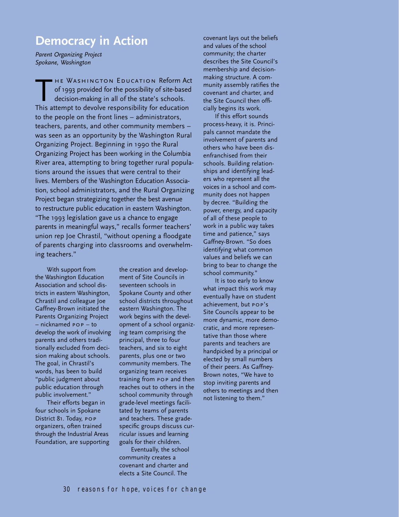## **Democracy in Action**

*Parent Organizing Project Spokane, Washington* 

HE WASHINGTON EDUCATION Reform Act<br>of 1993 provided for the possibility of site-based<br>decision-making in all of the state's schools.<br>This attemnt to devolve responsibility for education of 1993 provided for the possibility of site-based decision-making in all of the state's schools. This attempt to devolve responsibility for education to the people on the front lines – administrators, teachers, parents, and other community members – was seen as an opportunity by the Washington Rural Organizing Project. Beginning in 1990 the Rural Organizing Project has been working in the Columbia River area, attempting to bring together rural populations around the issues that were central to their lives. Members of the Washington Education Association, school administrators, and the Rural Organizing Project began strategizing together the best avenue to restructure public education in eastern Washington. "The 1993 legislation gave us a chance to engage parents in meaningful ways," recalls former teachers' union rep Joe Chrastil, "without opening a floodgate of parents charging into classrooms and overwhelming teachers."

With support from the Washington Education Association and school districts in eastern Washington, Chrastil and colleague Joe Gaffney-Brown initiated the Parents Organizing Project – nicknamed pop – to develop the work of involving parents and others traditionally excluded from decision making about schools. The goal, in Chrastil's words, has been to build "public judgment about public education through public involvement."

Their efforts began in four schools in Spokane District 81. Today, pop organizers, often trained through the Industrial Areas Foundation, are supporting

the creation and development of Site Councils in seventeen schools in Spokane County and other school districts throughout eastern Washington. The work begins with the development of a school organizing team comprising the principal, three to four teachers, and six to eight parents, plus one or two community members. The organizing team receives training from pop and then reaches out to others in the school community through grade-level meetings facilitated by teams of parents and teachers. These gradespecific groups discuss curricular issues and learning goals for their children.

Eventually, the school community creates a covenant and charter and elects a Site Council. The

covenant lays out the beliefs and values of the school community; the charter describes the Site Council's membership and decisionmaking structure. A community assembly ratifies the covenant and charter, and the Site Council then officially begins its work.

If this effort sounds process-heavy, it is. Principals cannot mandate the involvement of parents and others who have been disenfranchised from their schools. Building relationships and identifying leaders who represent all the voices in a school and community does not happen by decree. "Building the power, energy, and capacity of all of these people to work in a public way takes time and patience," says Gaffney-Brown. "So does identifying what common values and beliefs we can bring to bear to change the school community."

It is too early to know what impact this work may eventually have on student achievement, but pop's Site Councils appear to be more dynamic, more democratic, and more representative than those where parents and teachers are handpicked by a principal or elected by small numbers of their peers. As Gaffney-Brown notes, "We have to stop inviting parents and others to meetings and then not listening to them."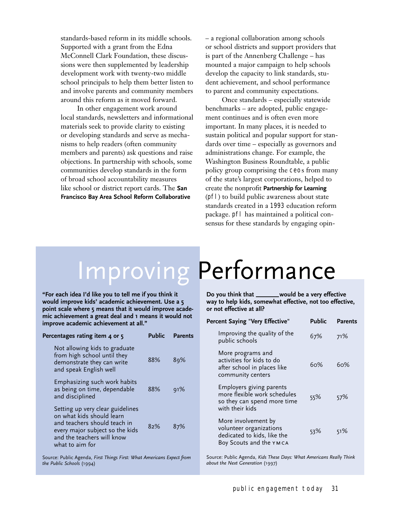standards-based reform in its middle schools. Supported with a grant from the Edna McConnell Clark Foundation, these discussions were then supplemented by leadership development work with twenty-two middle school principals to help them better listen to and involve parents and community members around this reform as it moved forward.

In other engagement work around local standards, newsletters and informational materials seek to provide clarity to existing or developing standards and serve as mechanisms to help readers (often community members and parents) ask questions and raise objections. In partnership with schools, some communities develop standards in the form of broad school accountability measures like school or district report cards. The **San Francisco Bay Area School Reform Collaborative**

– a regional collaboration among schools or school districts and support providers that is part of the Annenberg Challenge – has mounted a major campaign to help schools develop the capacity to link standards, student achievement, and school performance to parent and community expectations.

Once standards – especially statewide benchmarks – are adopted, public engagement continues and is often even more important. In many places, it is needed to sustain political and popular support for standards over time – especially as governors and administrations change. For example, the Washington Business Roundtable, a public policy group comprising the ceos from many of the state's largest corporations, helped to create the nonprofit **Partnership for Learning** (pfl) to build public awareness about state standards created in a 1993 education reform package. pfl has maintained a political consensus for these standards by engaging opin-

**"For each idea I'd like you to tell me if you think it would improve kids' academic achievement. Use a 5 point scale where 5 means that it would improve academic achievement a great deal and 1 means it would not improve academic achievement at all."**

| Percentages rating item 4 or 5                                                                                                                                                    | <b>Public</b> | <b>Parents</b> |
|-----------------------------------------------------------------------------------------------------------------------------------------------------------------------------------|---------------|----------------|
| Not allowing kids to graduate<br>from high school until they<br>demonstrate they can write<br>and speak English well                                                              | 88%           | 89%            |
| Emphasizing such work habits<br>as being on time, dependable<br>and disciplined                                                                                                   | 88%           | 91%            |
| Setting up very clear guidelines<br>on what kids should learn<br>and teachers should teach in<br>every major subject so the kids<br>and the teachers will know<br>what to aim for | 82%           | 87%            |
| Source: Public Agenda, First Things First: What Americans Expect from                                                                                                             |               |                |

*the Public Schools* (1994)

Improving Performance

Do you think that \_\_\_\_\_\_would be a very effective **way to help kids, somewhat effective, not too effective, or not effective at all?**

| <b>Public</b> | <b>Parents</b> |
|---------------|----------------|
| 67%           | 71%            |
| 60%           | 60%            |
| 55%           | 57%            |
| 53%           | 51%            |
|               |                |

Source: Public Agenda, *Kids These Days: What Americans Really Think about the Next Generation* (1997)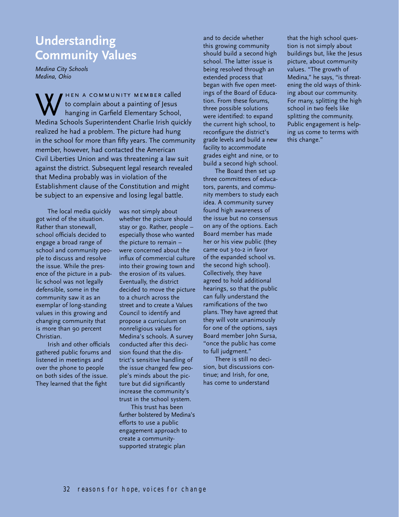# **Understanding Community Values**

*Medina City Schools Medina, Ohio*

W HEN A COMMUNITY MEMBER called<br>to complain about a painting of Jesus<br>hanging in Garfield Elementary School,<br>Medina Schools Superintendent Charlie Irish quic to complain about a painting of Jesus hanging in Garfield Elementary School, Medina Schools Superintendent Charlie Irish quickly realized he had a problem. The picture had hung in the school for more than fifty years. The community member, however, had contacted the American Civil Liberties Union and was threatening a law suit against the district. Subsequent legal research revealed that Medina probably was in violation of the Establishment clause of the Constitution and might be subject to an expensive and losing legal battle.

The local media quickly got wind of the situation. Rather than stonewall, school officials decided to engage a broad range of school and community people to discuss and resolve the issue. While the presence of the picture in a public school was not legally defensible, some in the community saw it as an exemplar of long-standing values in this growing and changing community that is more than 90 percent Christian.

Irish and other officials gathered public forums and listened in meetings and over the phone to people on both sides of the issue. They learned that the fight

was not simply about whether the picture should stay or go. Rather, people – especially those who wanted the picture to remain – were concerned about the influx of commercial culture into their growing town and the erosion of its values. Eventually, the district decided to move the picture to a church across the street and to create a Values Council to identify and propose a curriculum on nonreligious values for Medina's schools. A survey conducted after this decision found that the district's sensitive handling of the issue changed few people's minds about the picture but did significantly increase the community's trust in the school system.

This trust has been further bolstered by Medina's efforts to use a public engagement approach to create a communitysupported strategic plan

and to decide whether this growing community should build a second high school. The latter issue is being resolved through an extended process that began with five open meetings of the Board of Education. From these forums, three possible solutions were identified: to expand the current high school, to reconfigure the district's grade levels and build a new facility to accommodate grades eight and nine, or to build a second high school.

The Board then set up three committees of educators, parents, and community members to study each idea. A community survey found high awareness of the issue but no consensus on any of the options. Each Board member has made her or his view public (they came out 3-to-2 in favor of the expanded school vs. the second high school). Collectively, they have agreed to hold additional hearings, so that the public can fully understand the ramifications of the two plans. They have agreed that they will vote unanimously for one of the options, says Board member John Sursa, "once the public has come to full judgment."

There is still no decision, but discussions continue; and Irish, for one, has come to understand

that the high school question is not simply about buildings but, like the Jesus picture, about community values. "The growth of Medina," he says, "is threatening the old ways of thinking about our community. For many, splitting the high school in two feels like splitting the community. Public engagement is helping us come to terms with this change."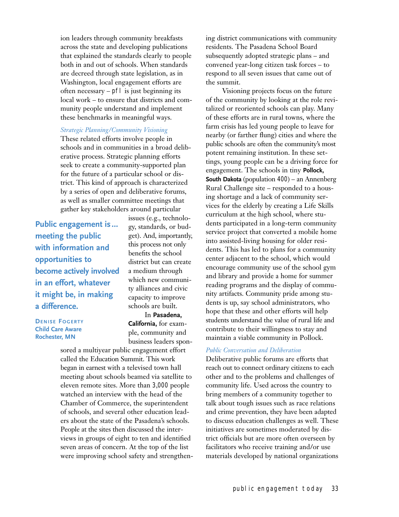ion leaders through community breakfasts across the state and developing publications that explained the standards clearly to people both in and out of schools. When standards are decreed through state legislation, as in Washington, local engagement efforts are often necessary – pfl is just beginning its local work – to ensure that districts and community people understand and implement these benchmarks in meaningful ways.

#### *Strategic Planning/Community Visioning*

These related efforts involve people in schools and in communities in a broad deliberative process. Strategic planning efforts seek to create a community-supported plan for the future of a particular school or district. This kind of approach is characterized by a series of open and deliberative forums, as well as smaller committee meetings that gather key stakeholders around particular

**Public engagement is… meeting the public with information and opportunities to become actively involved in an effort, whatever it might be, in making a difference.** 

#### **DENISE FOGERTY Child Care Aware Rochester, MN**

issues (e.g., technology, standards, or budget). And, importantly, this process not only benefits the school district but can create a medium through which new community alliances and civic capacity to improve schools are built.

In **Pasadena, California,** for example, community and business leaders spon-

sored a multiyear public engagement effort called the Education Summit. This work began in earnest with a televised town hall meeting about schools beamed via satellite to eleven remote sites. More than 3,000 people watched an interview with the head of the Chamber of Commerce, the superintendent of schools, and several other education leaders about the state of the Pasadena's schools. People at the sites then discussed the interviews in groups of eight to ten and identified seven areas of concern. At the top of the list were improving school safety and strengthening district communications with community residents. The Pasadena School Board subsequently adopted strategic plans – and convened year-long citizen task forces – to respond to all seven issues that came out of the summit.

Visioning projects focus on the future of the community by looking at the role revitalized or reoriented schools can play. Many of these efforts are in rural towns, where the farm crisis has led young people to leave for nearby (or farther flung) cities and where the public schools are often the community's most potent remaining institution. In these settings, young people can be a driving force for engagement. The schools in tiny **Pollock, South Dakota** (population 400) – an Annenberg Rural Challenge site – responded to a housing shortage and a lack of community services for the elderly by creating a Life Skills curriculum at the high school, where students participated in a long-term community service project that converted a mobile home into assisted-living housing for older residents. This has led to plans for a community center adjacent to the school, which would encourage community use of the school gym and library and provide a home for summer reading programs and the display of community artifacts. Community pride among students is up, say school administrators, who hope that these and other efforts will help students understand the value of rural life and contribute to their willingness to stay and maintain a viable community in Pollock.

#### *Public Conversation and Deliberation*

Deliberative public forums are efforts that reach out to connect ordinary citizens to each other and to the problems and challenges of community life. Used across the country to bring members of a community together to talk about tough issues such as race relations and crime prevention, they have been adapted to discuss education challenges as well. These initiatives are sometimes moderated by district officials but are more often overseen by facilitators who receive training and/or use materials developed by national organizations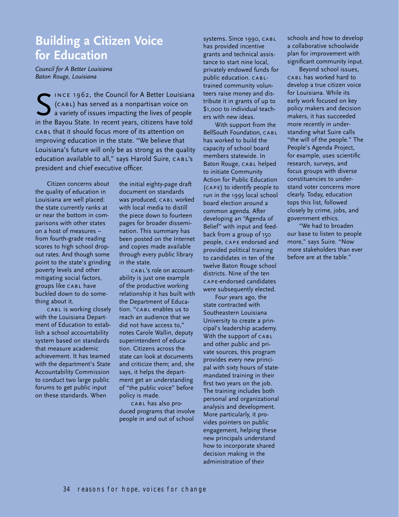# **Building a Citizen Voice for Education**

*Council for A Better Louisiana Baton Rouge, Louisiana* 

S INCE 1962, the Council for A Better Louisiana<br>(CABL) has served as a nonpartisan voice on<br>a variety of issues impacting the lives of people<br>in the Bayou State. In recent vears, citizens have told (cabl) has served as a nonpartisan voice on a variety of issues impacting the lives of people in the Bayou State. In recent years, citizens have told CABL that it should focus more of its attention on improving education in the state. "We believe that Louisiana's future will only be as strong as the quality education available to all," says Harold Suire, CABL's president and chief executive officer.

Citizen concerns about the quality of education in Louisiana are well placed: the state currently ranks at or near the bottom in comparisons with other states on a host of measures – from fourth-grade reading scores to high school dropout rates. And though some point to the state's grinding poverty levels and other mitigating social factors, groups like CABL have buckled down to do something about it.

.<br>САВL is working closely with the Louisiana Department of Education to establish a school accountability system based on standards that measure academic achievement. It has teamed with the department's State Accountability Commission to conduct two large public forums to get public input on these standards. When

the initial eighty-page draft document on standards was produced, CABL worked with local media to distill the piece down to fourteen pages for broader dissemination. This summary has been posted on the Internet and copies made available through every public library in the state.

cabl's role on accountability is just one example of the productive working relationship it has built with the Department of Education. "CABL enables us to reach an audience that we did not have access to," notes Carole Wallin, deputy superintendent of education. Citizens across the state can look at documents and criticize them; and, she says, it helps the department get an understanding of "the public voice" before policy is made.

.<br>cавL has also produced programs that involve people in and out of school

systems. Since 1990, cabl has provided incentive grants and technical assistance to start nine local, privately endowed funds for public education. CABLtrained community volunteers raise money and distribute it in grants of up to \$1,000 to individual teachers with new ideas.

With support from the BellSouth Foundation, CABL has worked to build the capacity of school board members statewide. In Baton Rouge, CABL helped to initiate Community Action for Public Education (cape) to identify people to run in the 1995 local school board election around a common agenda. After developing an "Agenda of Belief" with input and feedback from a group of 150 people, cape endorsed and provided political training to candidates in ten of the twelve Baton Rouge school districts. Nine of the ten cape-endorsed candidates were subsequently elected.

Four years ago, the state contracted with Southeastern Louisiana University to create a principal's leadership academy. With the support of CABL and other public and private sources, this program provides every new principal with sixty hours of statemandated training in their first two years on the job. The training includes both personal and organizational analysis and development. More particularly, it provides pointers on public engagement, helping these new principals understand how to incorporate shared decision making in the administration of their

schools and how to develop a collaborative schoolwide plan for improvement with significant community input.

Beyond school issues,  $c$ ABL has worked hard to develop a true citizen voice for Louisiana. While its early work focused on key policy makers and decision makers, it has succeeded more recently in understanding what Suire calls "the will of the people." The People's Agenda Project, for example, uses scientific research, surveys, and focus groups with diverse constituencies to understand voter concerns more clearly. Today, education tops this list, followed closely by crime, jobs, and government ethics.

"We had to broaden our base to listen to people more," says Suire. "Now more stakeholders than ever before are at the table."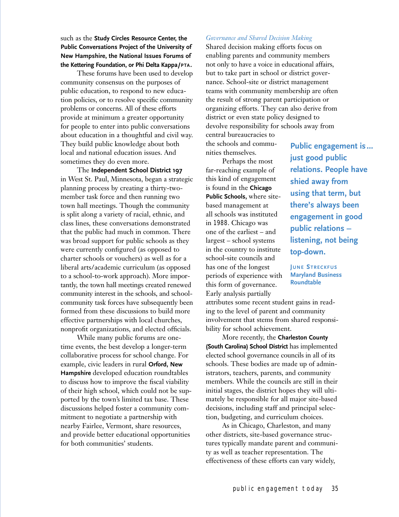such as the **Study Circles Resource Center, the Public Conversations Project of the University of New Hampshire, the National Issues Forums of the Kettering Foundation, or Phi Delta Kappa/PTA.** 

These forums have been used to develop community consensus on the purposes of public education, to respond to new education policies, or to resolve specific community problems or concerns. All of these efforts provide at minimum a greater opportunity for people to enter into public conversations about education in a thoughtful and civil way. They build public knowledge about both local and national education issues. And sometimes they do even more.

The **Independent School District 197**  in West St. Paul, Minnesota, began a strategic planning process by creating a thirty-twomember task force and then running two town hall meetings. Though the community is split along a variety of racial, ethnic, and class lines, these conversations demonstrated that the public had much in common. There was broad support for public schools as they were currently configured (as opposed to charter schools or vouchers) as well as for a liberal arts/academic curriculum (as opposed to a school-to-work approach). More importantly, the town hall meetings created renewed community interest in the schools, and schoolcommunity task forces have subsequently been formed from these discussions to build more effective partnerships with local churches, nonprofit organizations, and elected officials.

While many public forums are onetime events, the best develop a longer-term collaborative process for school change. For example, civic leaders in rural **Orford, New Hampshire** developed education roundtables to discuss how to improve the fiscal viability of their high school, which could not be supported by the town's limited tax base. These discussions helped foster a community commitment to negotiate a partnership with nearby Fairlee, Vermont, share resources, and provide better educational opportunities for both communities' students.

#### *Governance and Shared Decision Making*

Shared decision making efforts focus on enabling parents and community members not only to have a voice in educational affairs, but to take part in school or district governance. School-site or district management teams with community membership are often the result of strong parent participation or organizing efforts. They can also derive from district or even state policy designed to devolve responsibility for schools away from

central bureaucracies to the schools and communities themselves.

Perhaps the most far-reaching example of this kind of engagement is found in the **Chicago Public Schools,** where sitebased management at all schools was instituted in 1988. Chicago was one of the earliest – and largest – school systems in the country to institute school-site councils and has one of the longest periods of experience with this form of governance. Early analysis partially

**Public engagement is… just good public relations. People have shied away from using that term, but there's always been engagement in good public relations – listening, not being top-down.**

**JUNE STRECKFUS Maryland Business Roundtable**

attributes some recent student gains in reading to the level of parent and community involvement that stems from shared responsibility for school achievement.

More recently, the **Charleston County (South Carolina) School District** has implemented elected school governance councils in all of its schools. These bodies are made up of administrators, teachers, parents, and community members. While the councils are still in their initial stages, the district hopes they will ultimately be responsible for all major site-based decisions, including staff and principal selection, budgeting, and curriculum choices.

As in Chicago, Charleston, and many other districts, site-based governance structures typically mandate parent and community as well as teacher representation. The effectiveness of these efforts can vary widely,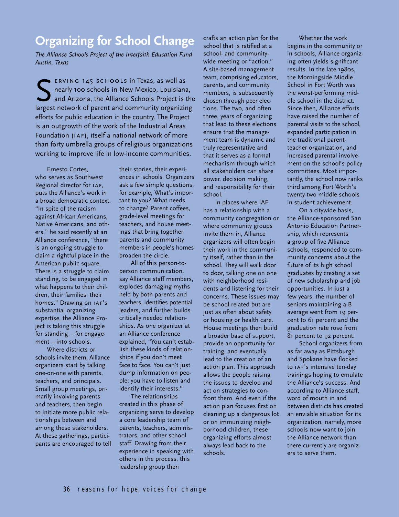# **Organizing for School Change**

*The Alliance Schools Project of the Interfaith Education Fund Austin, Texas*

ERVING 145 SCHOOLS in Texas, as well as<br>nearly 100 schools in New Mexico, Louisian<br>and Arizona, the Alliance Schools Project is<br>largest network of parent and community organizi nearly 100 schools in New Mexico, Louisiana, and Arizona, the Alliance Schools Project is the largest network of parent and community organizing efforts for public education in the country. The Project is an outgrowth of the work of the Industrial Areas Foundation  $(iAF)$ , itself a national network of more than forty umbrella groups of religious organizations working to improve life in low-income communities.

Ernesto Cortes, who serves as Southwest Regional director for LAF, puts the Alliance's work in a broad democratic context. "In spite of the racism against African Americans, Native Americans, and others," he said recently at an Alliance conference, "there is an ongoing struggle to claim a rightful place in the American public square. There is a struggle to claim standing, to be engaged in what happens to their children, their families, their homes." Drawing on IAF's substantial organizing expertise, the Alliance Project is taking this struggle for standing – for engagement – into schools.

Where districts or schools invite them, Alliance organizers start by talking one-on-one with parents, teachers, and principals. Small group meetings, primarily involving parents and teachers, then begin to initiate more public relationships between and among these stakeholders. At these gatherings, participants are encouraged to tell

their stories, their experiences in schools. Organizers ask a few simple questions, for example, What's important to you? What needs to change? Parent coffees, grade-level meetings for teachers, and house meetings that bring together parents and community members in people's homes broaden the circle.

All of this person-toperson communication, say Alliance staff members, explodes damaging myths held by both parents and teachers, identifies potential leaders, and further builds critically needed relationships. As one organizer at an Alliance conference explained, "You can't establish these kinds of relationships if you don't meet face to face. You can't just dump information on people; you have to listen and identify their interests."

The relationships created in this phase of organizing serve to develop a core leadership team of parents, teachers, administrators, and other school staff. Drawing from their experience in speaking with others in the process, this leadership group then

crafts an action plan for the school that is ratified at a school- and communitywide meeting or "action." A site-based management team, comprising educators, parents, and community members, is subsequently chosen through peer elections. The two, and often three, years of organizing that lead to these elections ensure that the management team is dynamic and truly representative and that it serves as a formal mechanism through which all stakeholders can share power, decision making, and responsibility for their school.

In places where IAF has a relationship with a community congregation or where community groups invite them in, Alliance organizers will often begin their work in the community itself, rather than in the school. They will walk door to door, talking one on one with neighborhood residents and listening for their concerns. These issues may be school-related but are just as often about safety or housing or health care. House meetings then build a broader base of support, provide an opportunity for training, and eventually lead to the creation of an action plan. This approach allows the people raising the issues to develop and act on strategies to confront them. And even if the action plan focuses first on cleaning up a dangerous lot or on immunizing neighborhood children, these organizing efforts almost always lead back to the schools.

Whether the work begins in the community or in schools, Alliance organizing often yields significant results. In the late 1980s, the Morningside Middle School in Fort Worth was the worst-performing middle school in the district. Since then, Alliance efforts have raised the number of parental visits to the school, expanded participation in the traditional parentteacher organization, and increased parental involvement on the school's policy committees. Most importantly, the school now ranks third among Fort Worth's twenty-two middle schools in student achievement.

On a citywide basis, the Alliance-sponsored San Antonio Education Partnership, which represents a group of five Alliance schools, responded to community concerns about the future of its high school graduates by creating a set of new scholarship and job opportunities. In just a few years, the number of seniors maintaining a B average went from 19 percent to 61 percent and the graduation rate rose from 81 percent to 92 percent.

School organizers from as far away as Pittsburgh and Spokane have flocked to IAF's intensive ten-day trainings hoping to emulate the Alliance's success. And according to Alliance staff, word of mouth in and between districts has created an enviable situation for its organization, namely, more schools now want to join the Alliance network than there currently are organizers to serve them.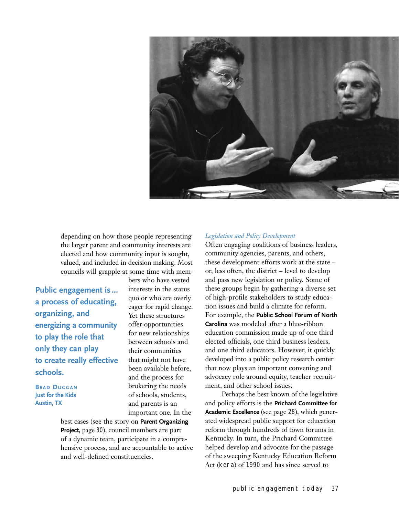

depending on how those people representing the larger parent and community interests are elected and how community input is sought, valued, and included in decision making. Most councils will grapple at some time with mem-

**Public engagement is… a process of educating, organizing, and energizing a community to play the role that only they can play to create really effective schools.**

**BRAD DUGGAN Just for the Kids Austin, TX**

bers who have vested interests in the status quo or who are overly eager for rapid change. Yet these structures offer opportunities for new relationships between schools and their communities that might not have been available before, and the process for brokering the needs of schools, students, and parents is an important one. In the

best cases (see the story on **Parent Organizing Project,** page 30), council members are part of a dynamic team, participate in a comprehensive process, and are accountable to active and well-defined constituencies.

#### *Legislation and Policy Development*

Often engaging coalitions of business leaders, community agencies, parents, and others, these development efforts work at the state – or, less often, the district – level to develop and pass new legislation or policy. Some of these groups begin by gathering a diverse set of high-profile stakeholders to study education issues and build a climate for reform. For example, the **Public School Forum of North Carolina** was modeled after a blue-ribbon education commission made up of one third elected officials, one third business leaders, and one third educators. However, it quickly developed into a public policy research center that now plays an important convening and advocacy role around equity, teacher recruitment, and other school issues.

Perhaps the best known of the legislative and policy efforts is the **Prichard Committee for Academic Excellence** (see page 28), which generated widespread public support for education reform through hundreds of town forums in Kentucky. In turn, the Prichard Committee helped develop and advocate for the passage of the sweeping Kentucky Education Reform Act (kera) of 1990 and has since served to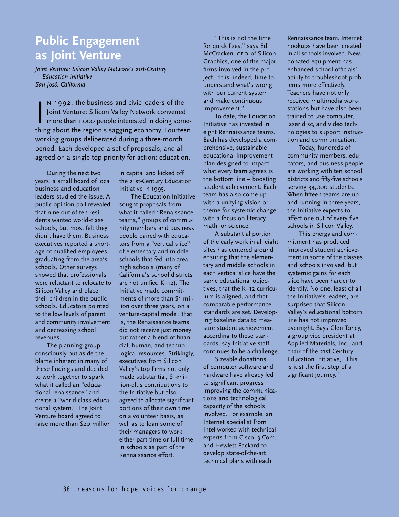# **Public Engagement as Joint Venture**

*Joint Venture: Silicon Valley Network's 21st-Century Education Initiative San José, California*

N 1992, the business and civic leaders of the<br>Joint Venture: Silicon Valley Network convened<br>more than 1,000 people interested in doing some-<br>thing about the region's sagging economy. Fourteen n 1992, the business and civic leaders of the Joint Venture: Silicon Valley Network convened more than 1,000 people interested in doing someworking groups deliberated during a three-month period. Each developed a set of proposals, and all agreed on a single top priority for action: education.

During the next two years, a small board of local business and education leaders studied the issue. A public opinion poll revealed that nine out of ten residents wanted world-class schools, but most felt they didn't have them. Business executives reported a shortage of qualified employees graduating from the area's schools. Other surveys showed that professionals were reluctant to relocate to Silicon Valley and place their children in the public schools. Educators pointed to the low levels of parent and community involvement and decreasing school revenues.

The planning group consciously put aside the blame inherent in many of these findings and decided to work together to spark what it called an "educational renaissance" and create a "world-class educational system." The Joint Venture board agreed to raise more than \$20 million in capital and kicked off the 21st-Century Education Initiative in 1995.

The Education Initiative sought proposals from what it called "Renaissance teams," groups of community members and business people paired with educators from a "vertical slice" of elementary and middle schools that fed into area high schools (many of California's school districts are not unified K–12). The Initiative made commitments of more than \$1 million over three years, on a venture-capital model; that is, the Renaissance teams did not receive just money but rather a blend of financial, human, and technological resources. Strikingly, executives from Silicon Valley's top firms not only made substantial, \$1-million-plus contributions to the Initiative but also agreed to allocate significant portions of their own time on a volunteer basis, as well as to loan some of their managers to work either part time or full time in schools as part of the Rennaissance effort.

"This is not the time for quick fixes," says Ed McCracken, ceo of Silicon Graphics, one of the major firms involved in the project. "It is, indeed, time to understand what's wrong with our current system and make continuous improvement."

To date, the Education Initiative has invested in eight Rennaissance teams. Each has developed a comprehensive, sustainable educational improvement plan designed to impact what every team agrees is the bottom line – boosting student achievement. Each team has also come up with a unifying vision or theme for systemic change with a focus on literacy, math, or science.

A substantial portion of the early work in all eight sites has centered around ensuring that the elementary and middle schools in each vertical slice have the same educational objectives, that the K–12 curriculum is aligned, and that comparable performance standards are set. Developing baseline data to measure student achievement according to these standards, say Initiative staff, continues to be a challenge.

Sizeable donations of computer software and hardware have already led to significant progress improving the communications and technological capacity of the schools involved. For example, an Internet specialist from Intel worked with technical experts from Cisco, 3 Com, and Hewlett-Packard to develop state-of-the-art technical plans with each

Rennaissance team. Internet hookups have been created in all schools involved. New, donated equipment has enhanced school officials' ability to troubleshoot problems more effectively. Teachers have not only received multimedia workstations but have also been trained to use computer, laser disc, and video technologies to support instruction and communication.

Today, hundreds of community members, educators, and business people are working with ten school districts and fifty-five schools serving 34,000 students. When fifteen teams are up and running in three years, the Initiative expects to affect one out of every five schools in Silicon Valley.

This energy and commitment has produced improved student achievement in some of the classes and schools involved, but systemic gains for each slice have been harder to identify. No one, least of all the Initiative's leaders, are surprised that Silicon Valley's educational bottom line has not improved overnight. Says Glen Toney, a group vice president at Applied Materials, Inc., and chair of the 21st-Century Education Initiative, "This is just the first step of a signficant journey."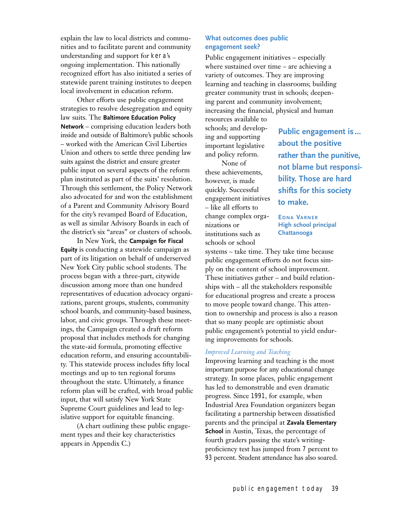explain the law to local districts and communities and to facilitate parent and community understanding and support for kera's ongoing implementation. This nationally recognized effort has also initiated a series of statewide parent training institutes to deepen local involvement in education reform.

Other efforts use public engagement strategies to resolve desegregation and equity law suits. The **Baltimore Education Policy Network** – comprising education leaders both inside and outside of Baltimore's public schools – worked with the American Civil Liberties Union and others to settle three pending law suits against the district and ensure greater public input on several aspects of the reform plan instituted as part of the suits' resolution. Through this settlement, the Policy Network also advocated for and won the establishment of a Parent and Community Advisory Board for the city's revamped Board of Education, as well as similar Advisory Boards in each of the district's six "areas" or clusters of schools.

In New York, the **Campaign for Fiscal Equity** is conducting a statewide campaign as part of its litigation on behalf of underserved New York City public school students. The process began with a three-part, citywide discussion among more than one hundred representatives of education advocacy organizations, parent groups, students, community school boards, and community-based business, labor, and civic groups. Through these meetings, the Campaign created a draft reform proposal that includes methods for changing the state-aid formula, promoting effective education reform, and ensuring accountability. This statewide process includes fifty local meetings and up to ten regional forums throughout the state. Ultimately, a finance reform plan will be crafted, with broad public input, that will satisfy New York State Supreme Court guidelines and lead to legislative support for equitable financing.

(A chart outlining these public engagement types and their key characteristics appears in Appendix C.)

#### **What outcomes does public engagement seek?**

Public engagement initiatives – especially where sustained over time – are achieving a variety of outcomes. They are improving learning and teaching in classrooms; building greater community trust in schools; deepening parent and community involvement; increasing the financial, physical and human

resources available to schools; and developing and supporting important legislative and policy reform.

None of these achievements, however, is made quickly. Successful engagement initiatives – like all efforts to change complex organizations or institutions such as schools or school

**Public engagement is… about the positive rather than the punitive, not blame but responsibility. Those are hard shifts for this society to make.**

**EDNA VARNER High school principal Chattanooga**

systems – take time. They take time because public engagement efforts do not focus simply on the content of school improvement. These initiatives gather – and build relationships with – all the stakeholders responsible for educational progress and create a process to move people toward change. This attention to ownership and process is also a reason that so many people are optimistic about public engagement's potential to yield enduring improvements for schools.

#### *Improved Learning and Teaching*

Improving learning and teaching is the most important purpose for any educational change strategy. In some places, public engagement has led to demonstrable and even dramatic progress. Since 1991, for example, when Industrial Area Foundation organizers began facilitating a partnership between dissatisfied parents and the principal at **Zavala Elementary School** in Austin, Texas, the percentage of fourth graders passing the state's writingproficiency test has jumped from 7 percent to 93 percent. Student attendance has also soared.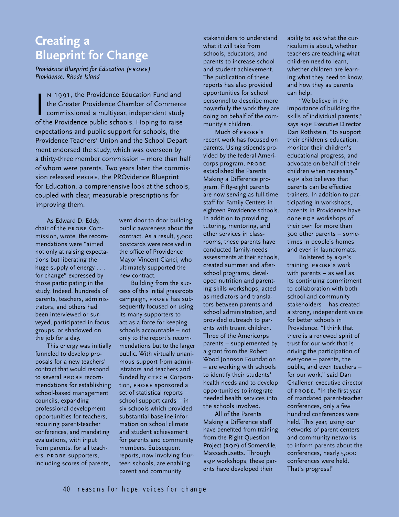# **Creating a Blueprint for Change**

*Providence Blueprint for Education (probe) Providence, Rhode Island*

N 1991, the Providence Education Fund and<br>the Greater Providence Chamber of Commerc<br>commissioned a multiyear, independent study<br>of the Providence public schools. Hoping to raise n 1991, the Providence Education Fund and the Greater Providence Chamber of Commerce commissioned a multiyear, independent study expectations and public support for schools, the Providence Teachers' Union and the School Department endorsed the study, which was overseen by a thirty-three member commission – more than half of whom were parents. Two years later, the commission released PROBE, the PROvidence Blueprint for Education, a comprehensive look at the schools, coupled with clear, measurable prescriptions for improving them.

As Edward D. Eddy, chair of the PROBE Commission, wrote, the recommendations were "aimed not only at raising expectations but liberating the huge supply of energy . . . for change" expressed by those participating in the study. Indeed, hundreds of parents, teachers, administrators, and others had been interviewed or surveyed, participated in focus groups, or shadowed on the job for a day.

This energy was initially funneled to develop proposals for a new teachers' contract that would respond to several PROBE recommendations for establishing school-based management councils, expanding professional development opportunities for teachers, requiring parent-teacher conferences, and mandating evaluations, with input from parents, for all teachers. PROBE supporters, including scores of parents, went door to door building public awareness about the contract. As a result, 5,000 postcards were received in the office of Providence Mayor Vincent Cianci, who ultimately supported the new contract.

Building from the success of this initial grassroots campaign, probe has subsequently focused on using its many supporters to act as a force for keeping schools accountable – not only to the report's recommendations but to the larger public. With virtually unanimous support from administrators and teachers and funded by GTECH Corporation, PROBE sponsored a set of statistical reports – school support cards – in six schools which provided substantial baseline information on school climate and student achievement for parents and community members. Subsequent reports, now involving fourteen schools, are enabling parent and community

stakeholders to understand what it will take from schools, educators, and parents to increase school and student achievement. The publication of these reports has also provided opportunities for school personnel to describe more powerfully the work they are doing on behalf of the community's children.

Much of probe's recent work has focused on parents. Using stipends provided by the federal Americorps program, PROBE established the Parents Making a Difference program. Fifty-eight parents are now serving as full-time staff for Family Centers in eighteen Providence schools. In addition to providing tutoring, mentoring, and other services in classrooms, these parents have conducted family-needs assessments at their schools, created summer and afterschool programs, developed nutrition and parenting skills workshops, acted as mediators and translators between parents and school administration, and provided outreach to parents with truant children. Three of the Americorps parents – supplemented by a grant from the Robert Wood Johnson Foundation – are working with schools to identify their students' health needs and to develop opportunities to integrate needed health services into the schools involved.

All of the Parents Making a Difference staff have benefited from training from the Right Question Project (RQP) of Somerville, Massachusetts. Through RQP workshops, these parents have developed their

ability to ask what the curriculum is about, whether teachers are teaching what children need to learn, whether children are learning what they need to know, and how they as parents can help.

"We believe in the importance of building the skills of individual parents," says RQP Executive Director Dan Rothstein, "to support their children's education, monitor their children's educational progress, and advocate on behalf of their children when necessary." RQP also believes that parents can be effective trainers. In addition to participating in workshops, parents in Providence have done RQP workshops of their own for more than 300 other parents – sometimes in people's homes and even in laundromats.

Bolstered by RQP's training, probe's work with parents – as well as its continuing commitment to collaboration with both school and community stakeholders – has created a strong, independent voice for better schools in Providence. "I think that there is a renewed spirit of trust for our work that is driving the participation of everyone – parents, the public, and even teachers – for our work," said Dan Challener, executive director of probe. "In the first year of mandated parent-teacher conferences, only a few hundred conferences were held. This year, using our networks of parent centers and community networks to inform parents about the conferences, nearly 5,000 conferences were held. That's progress!"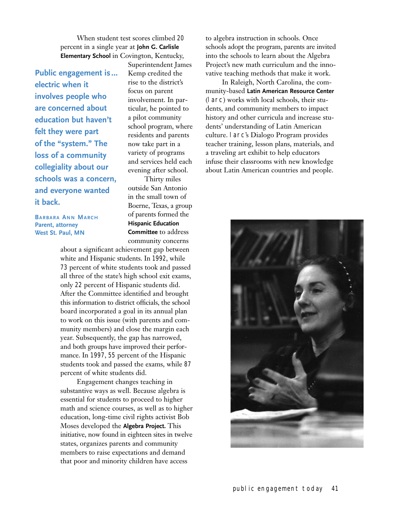When student test scores climbed 20 percent in a single year at **John G. Carlisle Elementary School** in Covington, Kentucky,

**Public engagement is… electric when it involves people who are concerned about education but haven't felt they were part of the "system." The loss of a community collegiality about our schools was a concern, and everyone wanted it back.**

**BARBARA ANN MARCH Parent, attorney West St. Paul, MN**

Superintendent James Kemp credited the rise to the district's focus on parent involvement. In particular, he pointed to a pilot community school program, where residents and parents now take part in a variety of programs and services held each evening after school.

Thirty miles outside San Antonio in the small town of Boerne, Texas, a group of parents formed the **Hispanic Education Committee** to address community concerns

about a significant achievement gap between white and Hispanic students. In 1992, while 73 percent of white students took and passed all three of the state's high school exit exams, only 22 percent of Hispanic students did. After the Committee identified and brought this information to district officials, the school board incorporated a goal in its annual plan to work on this issue (with parents and community members) and close the margin each year. Subsequently, the gap has narrowed, and both groups have improved their performance. In 1997, 55 percent of the Hispanic students took and passed the exams, while 87 percent of white students did.

Engagement changes teaching in substantive ways as well. Because algebra is essential for students to proceed to higher math and science courses, as well as to higher education, long-time civil rights activist Bob Moses developed the **Algebra Project.** This initiative, now found in eighteen sites in twelve states, organizes parents and community members to raise expectations and demand that poor and minority children have access

to algebra instruction in schools. Once schools adopt the program, parents are invited into the schools to learn about the Algebra Project's new math curriculum and the innovative teaching methods that make it work.

In Raleigh, North Carolina, the community-based **Latin American Resource Center** (larc) works with local schools, their students, and community members to impact history and other curricula and increase students' understanding of Latin American culture. larc's Dialogo Program provides teacher training, lesson plans, materials, and a traveling art exhibit to help educators infuse their classrooms with new knowledge about Latin American countries and people.

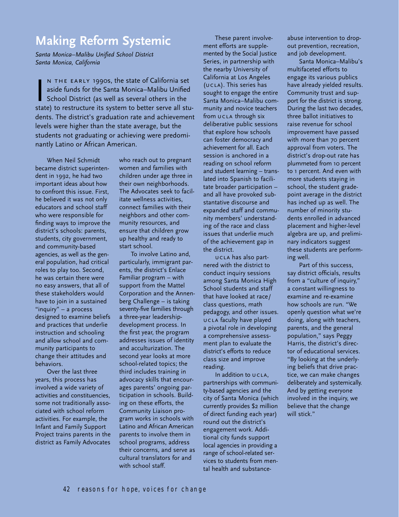# **Making Reform Systemic**

*Santa Monica–Malibu Unified School District Santa Monica, California*

N THE EARLY 1990s, the state of California set<br>aside funds for the Santa Monica–Malibu Unified<br>School District (as well as several others in the<br>state) to restructure its system to better serve all stun the early 1990s, the state of California set aside funds for the Santa Monica–Malibu Unified School District (as well as several others in the dents. The district's graduation rate and achievement levels were higher than the state average, but the students not graduating or achieving were predominantly Latino or African American.

When Neil Schmidt became district superintendent in 1992, he had two important ideas about how to confront this issue. First, he believed it was not only educators and school staff who were responsible for finding ways to improve the district's schools: parents, students, city government, and community-based agencies, as well as the general population, had critical roles to play too. Second, he was certain there were no easy answers, that all of these stakeholders would have to join in a sustained "inquiry" – a process designed to examine beliefs and practices that underlie instruction and schooling and allow school and community participants to change their attitudes and behaviors.

Over the last three years, this process has involved a wide variety of activities and constituencies, some not traditionally associated with school reform activities. For example, the Infant and Family Support Project trains parents in the district as Family Advocates who reach out to pregnant women and families with children under age three in their own neighborhoods. The Advocates seek to facilitate wellness activities, connect families with their neighbors and other community resources, and ensure that children grow up healthy and ready to start school.

To involve Latino and, particularly, immigrant parents, the district's Enlace Familiar program – with support from the Mattel Corporation and the Annenberg Challenge – is taking seventy-five families through a three-year leadershipdevelopment process. In the first year, the program addresses issues of identity and acculturization. The second year looks at more school-related topics; the third includes training in advocacy skills that encourages parents' ongoing participation in schools. Building on these efforts, the Community Liaison program works in schools with Latino and African American parents to involve them in school programs, address their concerns, and serve as cultural translators for and with school staff.

These parent involvement efforts are supplemented by the Social Justice Series, in partnership with the nearby University of California at Los Angeles (ucla). This series has sought to engage the entire Santa Monica–Malibu community and novice teachers from **UCLA** through six deliberative public sessions that explore how schools can foster democracy and achievement for all. Each session is anchored in a reading on school reform and student learning – translated into Spanish to facilitate broader participation – and all have provoked substantative discourse and expanded staff and community members' understanding of the race and class issues that underlie much of the achievement gap in the district.

ucla has also partnered with the district to conduct inquiry sessions among Santa Monica High School students and staff that have looked at race/ class questions, math pedagogy, and other issues. .<br>UCLA faculty have played a pivotal role in developing a comprehensive assessment plan to evaluate the district's efforts to reduce class size and improve reading.

In addition to UCLA, partnerships with community-based agencies and the city of Santa Monica (which currently provides \$2 million of direct funding each year) round out the district's engagement work. Additional city funds support local agencies in providing a range of school-related services to students from mental health and substanceabuse intervention to dropout prevention, recreation, and job development.

Santa Monica–Malibu's multifaceted efforts to engage its various publics have already yielded results. Community trust and support for the district is strong. During the last two decades, three ballot initiatives to raise revenue for school improvement have passed with more than 70 percent approval from voters. The district's drop-out rate has plummeted from 10 percent to 1 percent. And even with more students staying in school, the student gradepoint average in the district has inched up as well. The number of minority students enrolled in advanced placement and higher-level algebra are up, and preliminary indicators suggest these students are performing well.

Part of this success, say district officials, results from a "culture of inquiry," a constant willingness to examine and re-examine how schools are run. "We openly question what we're doing, along with teachers, parents, and the general population," says Peggy Harris, the district's director of educational services. "By looking at the underlying beliefs that drive practice, we can make changes deliberately and systemically. And by getting everyone involved in the inquiry, we believe that the change will stick."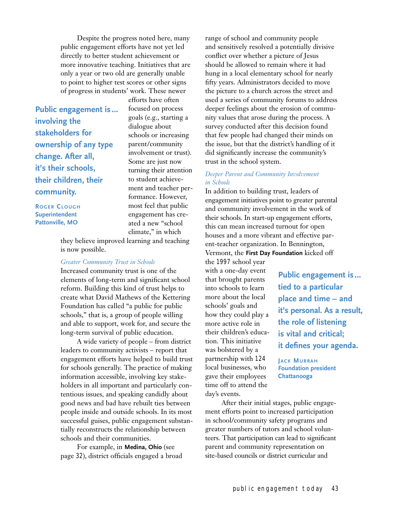Despite the progress noted here, many public engagement efforts have not yet led directly to better student achievement or more innovative teaching. Initiatives that are only a year or two old are generally unable to point to higher test scores or other signs of progress in students' work. These newer

**Public engagement is… involving the stakeholders for ownership of any type change. After all, it's their schools, their children, their community.**

**ROGER CLOUGH Superintendent Pattonville, MO**

efforts have often focused on process goals (e.g., starting a dialogue about schools or increasing parent/community involvement or trust). Some are just now turning their attention to student achievement and teacher performance. However, most feel that public engagement has created a new "school climate," in which

they believe improved learning and teaching is now possible.

#### *Greater Community Trust in Schools*

Increased community trust is one of the elements of long-term and significant school reform. Building this kind of trust helps to create what David Mathews of the Kettering Foundation has called "a public for public schools," that is, a group of people willing and able to support, work for, and secure the long-term survival of public education.

A wide variety of people – from district leaders to community activists – report that engagement efforts have helped to build trust for schools generally. The practice of making information accessible, involving key stakeholders in all important and particularly contentious issues, and speaking candidly about good news and bad have rebuilt ties between people inside and outside schools. In its most successful guises, public engagement substantially reconstructs the relationship between schools and their communities.

For example, in **Medina, Ohio** (see page 32), district officials engaged a broad range of school and community people and sensitively resolved a potentially divisive conflict over whether a picture of Jesus should be allowed to remain where it had hung in a local elementary school for nearly fifty years. Administrators decided to move the picture to a church across the street and used a series of community forums to address deeper feelings about the erosion of community values that arose during the process. A survey conducted after this decision found that few people had changed their minds on the issue, but that the district's handling of it did significantly increase the community's trust in the school system.

#### *Deeper Parent and Community Involvement in Schools*

In addition to building trust, leaders of engagement initiatives point to greater parental and community involvement in the work of their schools. In start-up engagement efforts, this can mean increased turnout for open houses and a more vibrant and effective parent-teacher organization. In Bennington, Vermont, the **First Day Foundation** kicked off

the 1997 school year with a one-day event that brought parents into schools to learn more about the local schools' goals and how they could play a more active role in their children's education. This initiative was bolstered by a partnership with 124 local businesses, who gave their employees time off to attend the day's events.

**Public engagement is… tied to a particular place and time – and it's personal. As a result, the role of listening is vital and critical; it defines your agenda.**

**JACK MURRAH Foundation president Chattanooga**

After their initial stages, public engagement efforts point to increased participation in school/community safety programs and greater numbers of tutors and school volunteers. That participation can lead to significant parent and community representation on site-based councils or district curricular and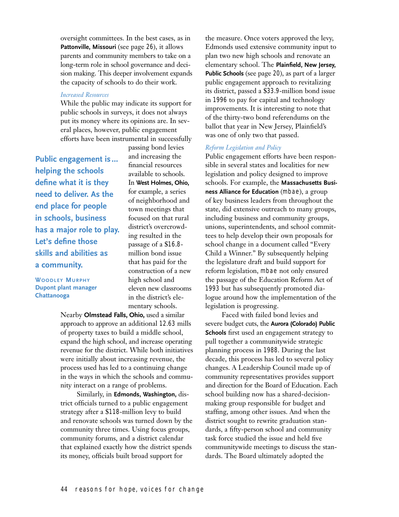oversight committees. In the best cases, as in Pattonville, Missouri (see page 26), it allows parents and community members to take on a long-term role in school governance and decision making. This deeper involvement expands the capacity of schools to do their work.

#### *Increased Resources*

While the public may indicate its support for public schools in surveys, it does not always put its money where its opinions are. In several places, however, public engagement efforts have been instrumental in successfully

**Public engagement is… helping the schools define what it is they need to deliver. As the end place for people in schools, business has a major role to play. Let's define those skills and abilities as a community.**

**WOODLEY MURPHY Dupont plant manager Chattanooga**

passing bond levies and increasing the financial resources available to schools. In **West Holmes, Ohio,** for example, a series of neighborhood and town meetings that focused on that rural district's overcrowding resulted in the passage of a \$16.8 million bond issue that has paid for the construction of a new high school and eleven new classrooms in the district's elementary schools.

Nearby **Olmstead Falls, Ohio,** used a similar approach to approve an additional 12.63 mills of property taxes to build a middle school, expand the high school, and increase operating revenue for the district. While both initiatives were initially about increasing revenue, the process used has led to a continuing change in the ways in which the schools and community interact on a range of problems.

Similarly, in **Edmonds, Washington,** district officials turned to a public engagement strategy after a \$118-million levy to build and renovate schools was turned down by the community three times. Using focus groups, community forums, and a district calendar that explained exactly how the district spends its money, officials built broad support for

the measure. Once voters approved the levy, Edmonds used extensive community input to plan two new high schools and renovate an elementary school. The **Plainfield, New Jersey, Public Schools** (see page 20), as part of a larger public engagement approach to revitalizing its district, passed a \$33.9-million bond issue in 1996 to pay for capital and technology improvements. It is interesting to note that of the thirty-two bond referendums on the ballot that year in New Jersey, Plainfield's was one of only two that passed.

#### *Reform Legislation and Policy*

Public engagement efforts have been responsible in several states and localities for new legislation and policy designed to improve schools. For example, the **Massachusetts Business Alliance for Education** (mbae), a group of key business leaders from throughout the state, did extensive outreach to many groups, including business and community groups, unions, superintendents, and school committees to help develop their own proposals for school change in a document called "Every Child a Winner." By subsequently helping the legislature draft and build support for reform legislation, mbae not only ensured the passage of the Education Reform Act of 1993 but has subsequently promoted dialogue around how the implementation of the legislation is progressing.

Faced with failed bond levies and severe budget cuts, the **Aurora (Colorado) Public Schools** first used an engagement strategy to pull together a communitywide strategic planning process in 1988. During the last decade, this process has led to several policy changes. A Leadership Council made up of community representatives provides support and direction for the Board of Education. Each school building now has a shared-decisionmaking group responsible for budget and staffing, among other issues. And when the district sought to rewrite graduation standards, a fifty-person school and community task force studied the issue and held five communitywide meetings to discuss the standards. The Board ultimately adopted the